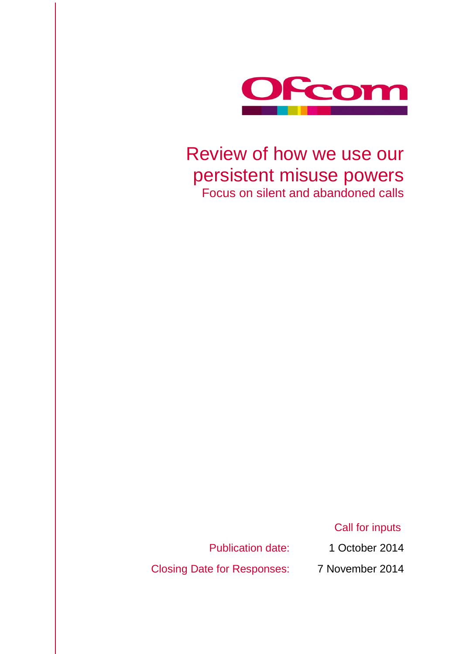

# Review of how we use our persistent misuse powers Focus on silent and abandoned calls

Call for inputs

Publication date: 1 October 2014

Closing Date for Responses: 7 November 2014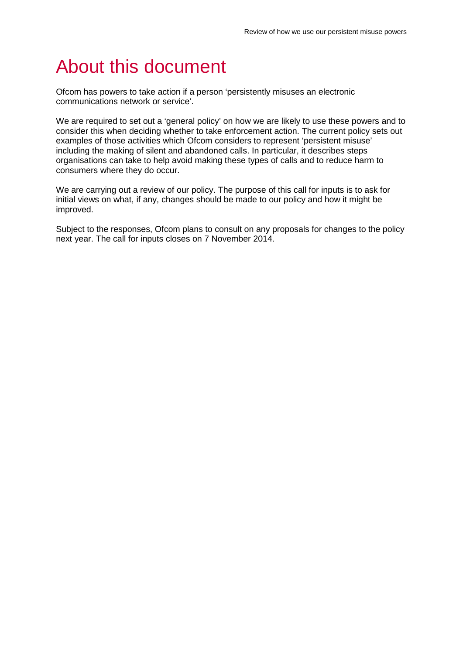# About this document

Ofcom has powers to take action if a person 'persistently misuses an electronic communications network or service'.

We are required to set out a 'general policy' on how we are likely to use these powers and to consider this when deciding whether to take enforcement action. The current policy sets out examples of those activities which Ofcom considers to represent 'persistent misuse' including the making of silent and abandoned calls. In particular, it describes steps organisations can take to help avoid making these types of calls and to reduce harm to consumers where they do occur.

We are carrying out a review of our policy. The purpose of this call for inputs is to ask for initial views on what, if any, changes should be made to our policy and how it might be improved.

Subject to the responses, Ofcom plans to consult on any proposals for changes to the policy next year. The call for inputs closes on 7 November 2014.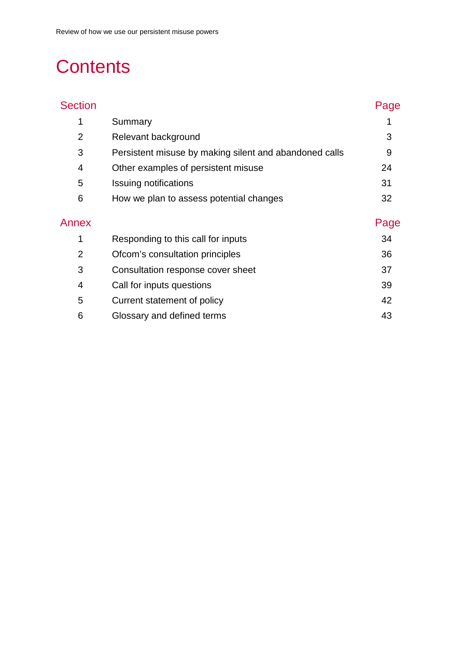# **Contents**

| <b>Section</b> |                                                        | Page |
|----------------|--------------------------------------------------------|------|
| 1              | Summary                                                |      |
| $\overline{2}$ | Relevant background                                    | 3    |
| 3              | Persistent misuse by making silent and abandoned calls | 9    |
| 4              | Other examples of persistent misuse                    | 24   |
| 5              | Issuing notifications                                  | 31   |
| 6              | How we plan to assess potential changes                | 32   |
| Annex          |                                                        | Page |
| 1              | Responding to this call for inputs                     | 34   |
| $\overline{2}$ | Ofcom's consultation principles                        | 36   |
| 3              | Consultation response cover sheet                      | 37   |
| 4              | Call for inputs questions                              | 39   |
| 5              | Current statement of policy                            | 42   |
| 6              | Glossary and defined terms                             | 43   |
|                |                                                        |      |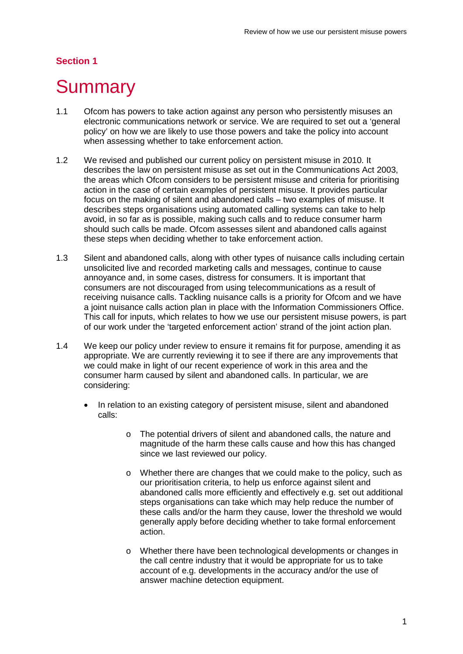## **Section 1**

# <span id="page-3-0"></span>**Summary**

- 1.1 Ofcom has powers to take action against any person who persistently misuses an electronic communications network or service. We are required to set out a 'general policy' on how we are likely to use those powers and take the policy into account when assessing whether to take enforcement action.
- 1.2 We revised and published our current policy on persistent misuse in 2010. It describes the law on persistent misuse as set out in the Communications Act 2003, the areas which Ofcom considers to be persistent misuse and criteria for prioritising action in the case of certain examples of persistent misuse. It provides particular focus on the making of silent and abandoned calls – two examples of misuse. It describes steps organisations using automated calling systems can take to help avoid, in so far as is possible, making such calls and to reduce consumer harm should such calls be made. Ofcom assesses silent and abandoned calls against these steps when deciding whether to take enforcement action.
- 1.3 Silent and abandoned calls, along with other types of nuisance calls including certain unsolicited live and recorded marketing calls and messages, continue to cause annoyance and, in some cases, distress for consumers. It is important that consumers are not discouraged from using telecommunications as a result of receiving nuisance calls. Tackling nuisance calls is a priority for Ofcom and we have a joint nuisance calls action plan in place with the Information Commissioners Office. This call for inputs, which relates to how we use our persistent misuse powers, is part of our work under the 'targeted enforcement action' strand of the joint action plan.
- 1.4 We keep our policy under review to ensure it remains fit for purpose, amending it as appropriate. We are currently reviewing it to see if there are any improvements that we could make in light of our recent experience of work in this area and the consumer harm caused by silent and abandoned calls. In particular, we are considering:
	- In relation to an existing category of persistent misuse, silent and abandoned calls:
		- o The potential drivers of silent and abandoned calls, the nature and magnitude of the harm these calls cause and how this has changed since we last reviewed our policy.
		- o Whether there are changes that we could make to the policy, such as our prioritisation criteria, to help us enforce against silent and abandoned calls more efficiently and effectively e.g. set out additional steps organisations can take which may help reduce the number of these calls and/or the harm they cause, lower the threshold we would generally apply before deciding whether to take formal enforcement action.
		- o Whether there have been technological developments or changes in the call centre industry that it would be appropriate for us to take account of e.g. developments in the accuracy and/or the use of answer machine detection equipment.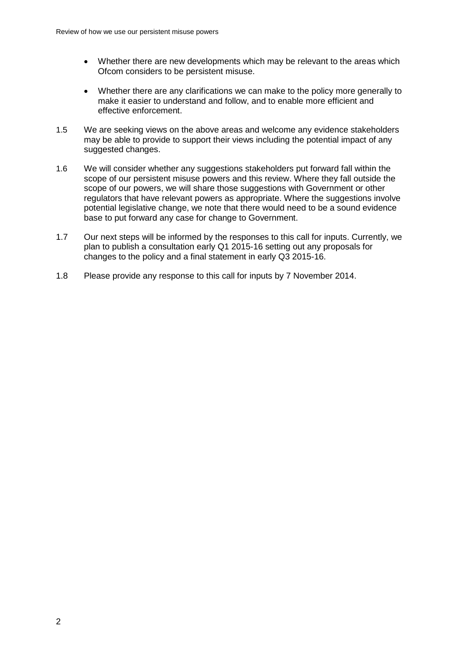- Whether there are new developments which may be relevant to the areas which Ofcom considers to be persistent misuse.
- Whether there are any clarifications we can make to the policy more generally to make it easier to understand and follow, and to enable more efficient and effective enforcement.
- 1.5 We are seeking views on the above areas and welcome any evidence stakeholders may be able to provide to support their views including the potential impact of any suggested changes.
- 1.6 We will consider whether any suggestions stakeholders put forward fall within the scope of our persistent misuse powers and this review. Where they fall outside the scope of our powers, we will share those suggestions with Government or other regulators that have relevant powers as appropriate. Where the suggestions involve potential legislative change, we note that there would need to be a sound evidence base to put forward any case for change to Government.
- 1.7 Our next steps will be informed by the responses to this call for inputs. Currently, we plan to publish a consultation early Q1 2015-16 setting out any proposals for changes to the policy and a final statement in early Q3 2015-16.
- 1.8 Please provide any response to this call for inputs by 7 November 2014.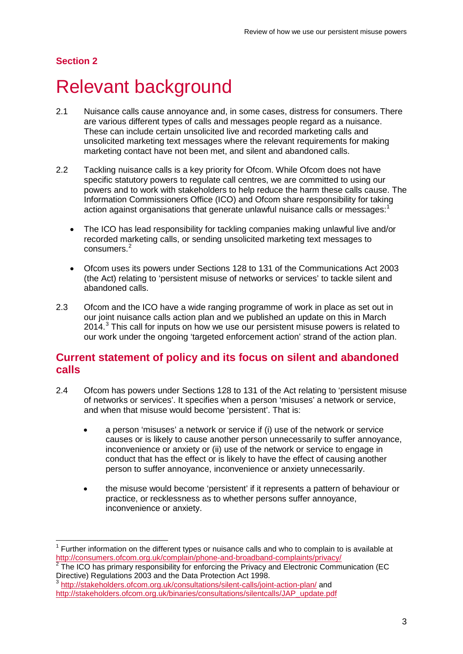## **Section 2**

 $\overline{a}$ 

# <span id="page-5-0"></span>**Relevant background**

- 2.1 Nuisance calls cause annoyance and, in some cases, distress for consumers. There are various different types of calls and messages people regard as a nuisance. These can include certain unsolicited live and recorded marketing calls and unsolicited marketing text messages where the relevant requirements for making marketing contact have not been met, and silent and abandoned calls.
- 2.2 Tackling nuisance calls is a key priority for Ofcom. While Ofcom does not have specific statutory powers to regulate call centres, we are committed to using our powers and to work with stakeholders to help reduce the harm these calls cause. The Information Commissioners Office (ICO) and Ofcom share responsibility for taking action against organisations that generate unlawful nuisance calls or messages:<sup>[1](#page-5-1)</sup>
	- The ICO has lead responsibility for tackling companies making unlawful live and/or recorded marketing calls, or sending unsolicited marketing text messages to consumers.<sup>[2](#page-5-2)</sup>
	- Ofcom uses its powers under Sections 128 to 131 of the Communications Act 2003 (the Act) relating to 'persistent misuse of networks or services' to tackle silent and abandoned calls.
- 2.3 Ofcom and the ICO have a wide ranging programme of work in place as set out in our joint nuisance calls action plan and we published an update on this in March 2014.<sup>[3](#page-5-3)</sup> This call for inputs on how we use our persistent misuse powers is related to our work under the ongoing 'targeted enforcement action' strand of the action plan.

## **Current statement of policy and its focus on silent and abandoned calls**

- 2.4 Ofcom has powers under Sections 128 to 131 of the Act relating to 'persistent misuse of networks or services'. It specifies when a person 'misuses' a network or service, and when that misuse would become 'persistent'. That is:
	- a person 'misuses' a network or service if (i) use of the network or service causes or is likely to cause another person unnecessarily to suffer annoyance, inconvenience or anxiety or (ii) use of the network or service to engage in conduct that has the effect or is likely to have the effect of causing another person to suffer annoyance, inconvenience or anxiety unnecessarily.
	- the misuse would become 'persistent' if it represents a pattern of behaviour or practice, or recklessness as to whether persons suffer annoyance, inconvenience or anxiety.

<span id="page-5-1"></span> $<sup>1</sup>$  Further information on the different types or nuisance calls and who to complain to is available at</sup> <http://consumers.ofcom.org.uk/complain/phone-and-broadband-complaints/privacy/><br><sup>2</sup> The ICO has primary responsibility for enforcing the Privacy and Electronic Communication (EC

<span id="page-5-2"></span>Directive) Regulations 2003 and the Data Protection Act 1998.

<span id="page-5-3"></span><sup>3</sup> <http://stakeholders.ofcom.org.uk/consultations/silent-calls/joint-action-plan/> and [http://stakeholders.ofcom.org.uk/binaries/consultations/silentcalls/JAP\\_update.pdf](http://stakeholders.ofcom.org.uk/binaries/consultations/silentcalls/JAP_update.pdf)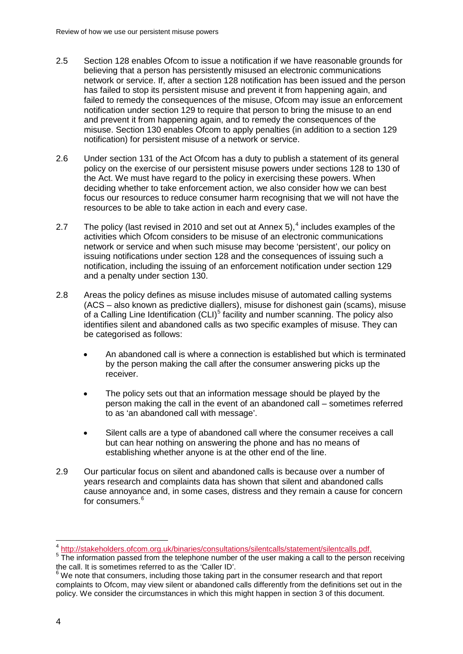- 2.5 Section 128 enables Ofcom to issue a notification if we have reasonable grounds for believing that a person has persistently misused an electronic communications network or service. If, after a section 128 notification has been issued and the person has failed to stop its persistent misuse and prevent it from happening again, and failed to remedy the consequences of the misuse, Ofcom may issue an enforcement notification under section 129 to require that person to bring the misuse to an end and prevent it from happening again, and to remedy the consequences of the misuse. Section 130 enables Ofcom to apply penalties (in addition to a section 129 notification) for persistent misuse of a network or service.
- 2.6 Under section 131 of the Act Ofcom has a duty to publish a statement of its general policy on the exercise of our persistent misuse powers under sections 128 to 130 of the Act. We must have regard to the policy in exercising these powers. When deciding whether to take enforcement action, we also consider how we can best focus our resources to reduce consumer harm recognising that we will not have the resources to be able to take action in each and every case.
- 2.7 The policy (last revised in 2010 and set out at Annex 5),  $4$  includes examples of the activities which Ofcom considers to be misuse of an electronic communications network or service and when such misuse may become 'persistent', our policy on issuing notifications under section 128 and the consequences of issuing such a notification, including the issuing of an enforcement notification under section 129 and a penalty under section 130.
- 2.8 Areas the policy defines as misuse includes misuse of automated calling systems (ACS – also known as predictive diallers), misuse for dishonest gain (scams), misuse of a Calling Line Identification (CLI)<sup>[5](#page-6-1)</sup> facility and number scanning. The policy also identifies silent and abandoned calls as two specific examples of misuse. They can be categorised as follows:
	- An abandoned call is where a connection is established but which is terminated by the person making the call after the consumer answering picks up the receiver.
	- The policy sets out that an information message should be played by the person making the call in the event of an abandoned call – sometimes referred to as 'an abandoned call with message'.
	- Silent calls are a type of abandoned call where the consumer receives a call but can hear nothing on answering the phone and has no means of establishing whether anyone is at the other end of the line.
- 2.9 Our particular focus on silent and abandoned calls is because over a number of years research and complaints data has shown that silent and abandoned calls cause annoyance and, in some cases, distress and they remain a cause for concern for consumers. [6](#page-6-2)

<span id="page-6-0"></span><sup>4</sup> http://stakeholders.ofcom.org.uk/binaries/consultations/silentcalls/statement/silentcalls.pdf.

<span id="page-6-1"></span> $\frac{1}{5}$ . The information passed from the telephone number of the user making a call to the person receiving the call. It is sometimes referred to as the 'Caller ID'.

<span id="page-6-2"></span>the call. It is something referred to a letter that the consumers research and that report complaints to Ofcom, may view silent or abandoned calls differently from the definitions set out in the policy. We consider the circumstances in which this might happen in section 3 of this document.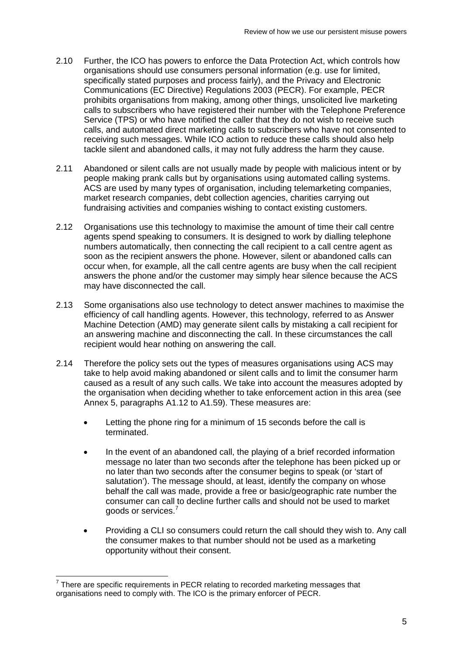- 2.10 Further, the ICO has powers to enforce the Data Protection Act, which controls how organisations should use consumers personal information (e.g. use for limited, specifically stated purposes and process fairly), and the Privacy and Electronic Communications (EC Directive) Regulations 2003 (PECR). For example, PECR prohibits organisations from making, among other things, unsolicited live marketing calls to subscribers who have registered their number with the Telephone Preference Service (TPS) or who have notified the caller that they do not wish to receive such calls, and automated direct marketing calls to subscribers who have not consented to receiving such messages. While ICO action to reduce these calls should also help tackle silent and abandoned calls, it may not fully address the harm they cause.
- 2.11 Abandoned or silent calls are not usually made by people with malicious intent or by people making prank calls but by organisations using automated calling systems. ACS are used by many types of organisation, including telemarketing companies, market research companies, debt collection agencies, charities carrying out fundraising activities and companies wishing to contact existing customers.
- 2.12 Organisations use this technology to maximise the amount of time their call centre agents spend speaking to consumers. It is designed to work by dialling telephone numbers automatically, then connecting the call recipient to a call centre agent as soon as the recipient answers the phone. However, silent or abandoned calls can occur when, for example, all the call centre agents are busy when the call recipient answers the phone and/or the customer may simply hear silence because the ACS may have disconnected the call.
- 2.13 Some organisations also use technology to detect answer machines to maximise the efficiency of call handling agents. However, this technology, referred to as Answer Machine Detection (AMD) may generate silent calls by mistaking a call recipient for an answering machine and disconnecting the call. In these circumstances the call recipient would hear nothing on answering the call.
- 2.14 Therefore the policy sets out the types of measures organisations using ACS may take to help avoid making abandoned or silent calls and to limit the consumer harm caused as a result of any such calls. We take into account the measures adopted by the organisation when deciding whether to take enforcement action in this area (see Annex 5, paragraphs A1.12 to A1.59). These measures are:
	- Letting the phone ring for a minimum of 15 seconds before the call is terminated.
	- In the event of an abandoned call, the playing of a brief recorded information message no later than two seconds after the telephone has been picked up or no later than two seconds after the consumer begins to speak (or 'start of salutation'). The message should, at least, identify the company on whose behalf the call was made, provide a free or basic/geographic rate number the consumer can call to decline further calls and should not be used to market goods or services. [7](#page-7-0)
	- Providing a CLI so consumers could return the call should they wish to. Any call the consumer makes to that number should not be used as a marketing opportunity without their consent.

<span id="page-7-0"></span> $7$  There are specific requirements in PECR relating to recorded marketing messages that organisations need to comply with. The ICO is the primary enforcer of PECR.  $\overline{a}$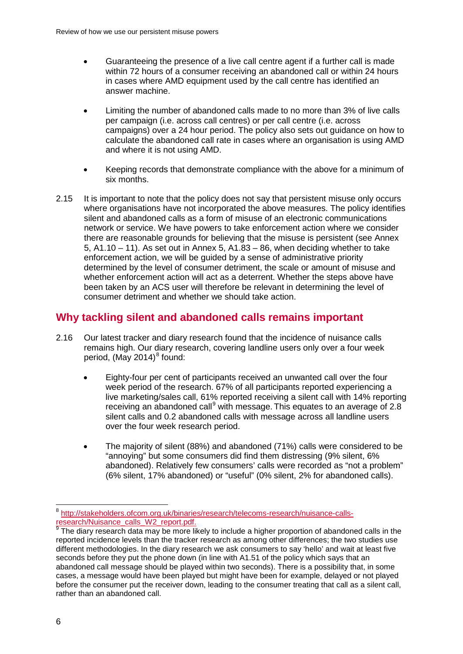- Guaranteeing the presence of a live call centre agent if a further call is made within 72 hours of a consumer receiving an abandoned call or within 24 hours in cases where AMD equipment used by the call centre has identified an answer machine.
- Limiting the number of abandoned calls made to no more than 3% of live calls per campaign (i.e. across call centres) or per call centre (i.e. across campaigns) over a 24 hour period. The policy also sets out guidance on how to calculate the abandoned call rate in cases where an organisation is using AMD and where it is not using AMD.
- Keeping records that demonstrate compliance with the above for a minimum of six months.
- 2.15 It is important to note that the policy does not say that persistent misuse only occurs where organisations have not incorporated the above measures. The policy identifies silent and abandoned calls as a form of misuse of an electronic communications network or service. We have powers to take enforcement action where we consider there are reasonable grounds for believing that the misuse is persistent (see Annex 5,  $A1.10 - 11$ ). As set out in Annex 5,  $A1.83 - 86$ , when deciding whether to take enforcement action, we will be guided by a sense of administrative priority determined by the level of consumer detriment, the scale or amount of misuse and whether enforcement action will act as a deterrent. Whether the steps above have been taken by an ACS user will therefore be relevant in determining the level of consumer detriment and whether we should take action.

## **Why tackling silent and abandoned calls remains important**

- 2.16 Our latest tracker and diary research found that the incidence of nuisance calls remains high. Our diary research, covering landline users only over a four week period, (May 2014) $8$  found:
	- Eighty-four per cent of participants received an unwanted call over the four week period of the research. 67% of all participants reported experiencing a live marketing/sales call, 61% reported receiving a silent call with 14% reporting receiving an abandoned call<sup>[9](#page-8-1)</sup> with message. This equates to an average of 2.8 silent calls and 0.2 abandoned calls with message across all landline users over the four week research period.
	- The majority of silent (88%) and abandoned (71%) calls were considered to be "annoying" but some consumers did find them distressing (9% silent, 6% abandoned). Relatively few consumers' calls were recorded as "not a problem" (6% silent, 17% abandoned) or "useful" (0% silent, 2% for abandoned calls).

<span id="page-8-0"></span><sup>&</sup>lt;sup>8</sup> http://stakeholders.ofcom.org.uk/binaries/research/telecoms-research/nuisance-calls-<br>research/Nuisance\_calls\_W2\_report.pdf.  $\overline{a}$ 

<span id="page-8-1"></span> $\overline{9}$  The diary research data may be more likely to include a higher proportion of abandoned calls in the reported incidence levels than the tracker research as among other differences; the two studies use different methodologies. In the diary research we ask consumers to say 'hello' and wait at least five seconds before they put the phone down (in line with A1.51 of the policy which says that an abandoned call message should be played within two seconds). There is a possibility that, in some cases, a message would have been played but might have been for example, delayed or not played before the consumer put the receiver down, leading to the consumer treating that call as a silent call, rather than an abandoned call.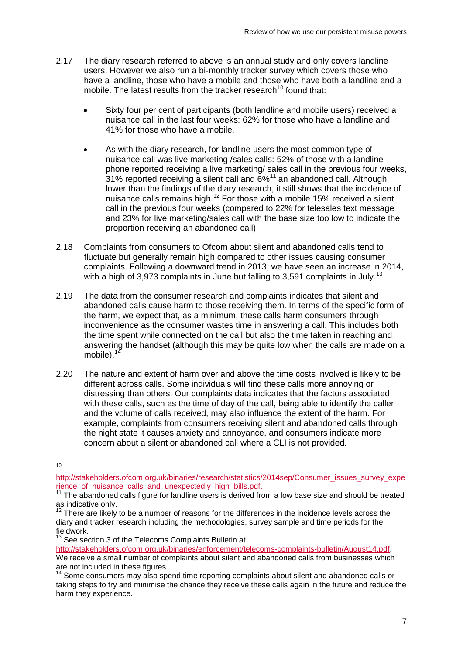- 2.17 The diary research referred to above is an annual study and only covers landline users. However we also run a bi-monthly tracker survey which covers those who have a landline, those who have a mobile and those who have both a landline and a mobile. The latest results from the tracker research<sup>[10](#page-9-0)</sup> found that:
	- Sixty four per cent of participants (both landline and mobile users) received a nuisance call in the last four weeks: 62% for those who have a landline and 41% for those who have a mobile.
	- As with the diary research, for landline users the most common type of nuisance call was live marketing /sales calls: 52% of those with a landline phone reported receiving a live marketing/ sales call in the previous four weeks, 31% reported receiving a silent call and 6%<sup>[11](#page-9-1)</sup> an abandoned call. Although lower than the findings of the diary research, it still shows that the incidence of nuisance calls remains high.[12](#page-9-2) For those with a mobile 15% received a silent call in the previous four weeks (compared to 22% for telesales text message and 23% for live marketing/sales call with the base size too low to indicate the proportion receiving an abandoned call).
- 2.18 Complaints from consumers to Ofcom about silent and abandoned calls tend to fluctuate but generally remain high compared to other issues causing consumer complaints. Following a downward trend in 2013, we have seen an increase in 2014, with a high of 3,973 complaints in June but falling to 3,591 complaints in July.<sup>13</sup>
- 2.19 The data from the consumer research and complaints indicates that silent and abandoned calls cause harm to those receiving them. In terms of the specific form of the harm, we expect that, as a minimum, these calls harm consumers through inconvenience as the consumer wastes time in answering a call. This includes both the time spent while connected on the call but also the time taken in reaching and answering the handset (although this may be quite low when the calls are made on a mobile). $14$
- 2.20 The nature and extent of harm over and above the time costs involved is likely to be different across calls. Some individuals will find these calls more annoying or distressing than others. Our complaints data indicates that the factors associated with these calls, such as the time of day of the call, being able to identify the caller and the volume of calls received, may also influence the extent of the harm. For example, complaints from consumers receiving silent and abandoned calls through the night state it causes anxiety and annoyance, and consumers indicate more concern about a silent or abandoned call where a CLI is not provided.

 $\frac{1}{10}$ 

<span id="page-9-0"></span>[http://stakeholders.ofcom.org.uk/binaries/research/statistics/2014sep/Consumer\\_issues\\_survey\\_expe](http://stakeholders.ofcom.org.uk/binaries/research/statistics/2014sep/Consumer_issues_survey_experience_of_nuisance_calls_and_unexpectedly_high_bills.pdf) [rience\\_of\\_nuisance\\_calls\\_and\\_unexpectedly\\_high\\_bills.pdf.](http://stakeholders.ofcom.org.uk/binaries/research/statistics/2014sep/Consumer_issues_survey_experience_of_nuisance_calls_and_unexpectedly_high_bills.pdf)<br><sup>11</sup> The abandoned calls figure for landline users is derived from a low base size and should be treated

<span id="page-9-1"></span>as indicative only.

<span id="page-9-2"></span> $12$  There are likely to be a number of reasons for the differences in the incidence levels across the diary and tracker research including the methodologies, survey sample and time periods for the fieldwork.

<sup>&</sup>lt;sup>13</sup> See section 3 of the Telecoms Complaints Bulletin at

<span id="page-9-3"></span>[http://stakeholders.ofcom.org.uk/binaries/enforcement/telecoms-complaints-bulletin/August14.pdf.](http://stakeholders.ofcom.org.uk/binaries/enforcement/telecoms-complaints-bulletin/August14.pdf) We receive a small number of complaints about silent and abandoned calls from businesses which are not included in these figures.

<span id="page-9-4"></span> $4$  Some consumers may also spend time reporting complaints about silent and abandoned calls or taking steps to try and minimise the chance they receive these calls again in the future and reduce the harm they experience.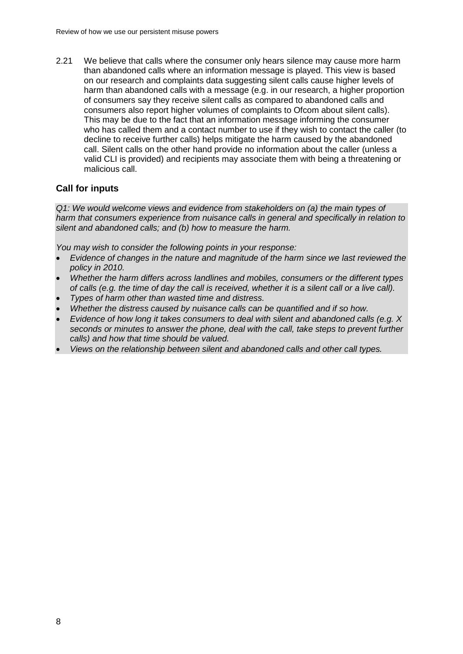2.21 We believe that calls where the consumer only hears silence may cause more harm than abandoned calls where an information message is played. This view is based on our research and complaints data suggesting silent calls cause higher levels of harm than abandoned calls with a message (e.g. in our research, a higher proportion of consumers say they receive silent calls as compared to abandoned calls and consumers also report higher volumes of complaints to Ofcom about silent calls). This may be due to the fact that an information message informing the consumer who has called them and a contact number to use if they wish to contact the caller (to decline to receive further calls) helps mitigate the harm caused by the abandoned call. Silent calls on the other hand provide no information about the caller (unless a valid CLI is provided) and recipients may associate them with being a threatening or malicious call.

#### **Call for inputs**

*Q1: We would welcome views and evidence from stakeholders on (a) the main types of harm that consumers experience from nuisance calls in general and specifically in relation to silent and abandoned calls; and (b) how to measure the harm.* 

*You may wish to consider the following points in your response:*

- *Evidence of changes in the nature and magnitude of the harm since we last reviewed the policy in 2010.*
- *Whether the harm differs across landlines and mobiles, consumers or the different types of calls (e.g. the time of day the call is received, whether it is a silent call or a live call).*
- *Types of harm other than wasted time and distress.*
- *Whether the distress caused by nuisance calls can be quantified and if so how.*
- *Evidence of how long it takes consumers to deal with silent and abandoned calls (e.g. X seconds or minutes to answer the phone, deal with the call, take steps to prevent further calls) and how that time should be valued.*
- *Views on the relationship between silent and abandoned calls and other call types.*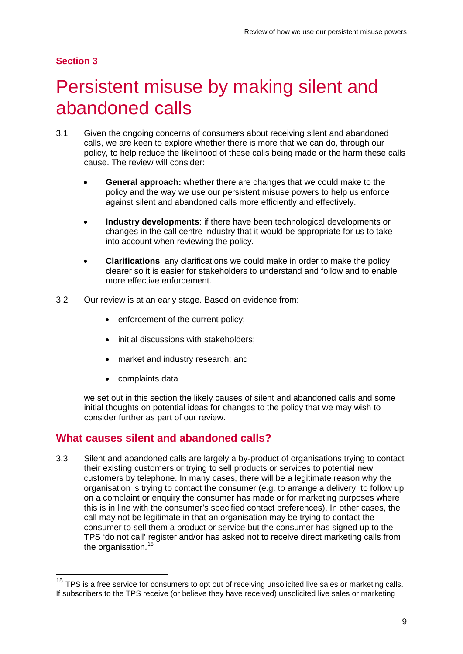### **Section 3**

 $\overline{a}$ 

# <span id="page-11-0"></span>Persistent misuse by making silent and abandoned calls

- 3.1 Given the ongoing concerns of consumers about receiving silent and abandoned calls, we are keen to explore whether there is more that we can do, through our policy, to help reduce the likelihood of these calls being made or the harm these calls cause. The review will consider:
	- **General approach:** whether there are changes that we could make to the policy and the way we use our persistent misuse powers to help us enforce against silent and abandoned calls more efficiently and effectively.
	- **Industry developments**: if there have been technological developments or changes in the call centre industry that it would be appropriate for us to take into account when reviewing the policy.
	- **Clarifications**: any clarifications we could make in order to make the policy clearer so it is easier for stakeholders to understand and follow and to enable more effective enforcement.
- 3.2 Our review is at an early stage. Based on evidence from:
	- enforcement of the current policy;
	- initial discussions with stakeholders;
	- market and industry research; and
	- complaints data

we set out in this section the likely causes of silent and abandoned calls and some initial thoughts on potential ideas for changes to the policy that we may wish to consider further as part of our review.

## **What causes silent and abandoned calls?**

3.3 Silent and abandoned calls are largely a by-product of organisations trying to contact their existing customers or trying to sell products or services to potential new customers by telephone. In many cases, there will be a legitimate reason why the organisation is trying to contact the consumer (e.g. to arrange a delivery, to follow up on a complaint or enquiry the consumer has made or for marketing purposes where this is in line with the consumer's specified contact preferences). In other cases, the call may not be legitimate in that an organisation may be trying to contact the consumer to sell them a product or service but the consumer has signed up to the TPS 'do not call' register and/or has asked not to receive direct marketing calls from the organisation.<sup>[15](#page-11-1)</sup>

<span id="page-11-1"></span><sup>&</sup>lt;sup>15</sup> TPS is a free service for consumers to opt out of receiving unsolicited live sales or marketing calls. If subscribers to the TPS receive (or believe they have received) unsolicited live sales or marketing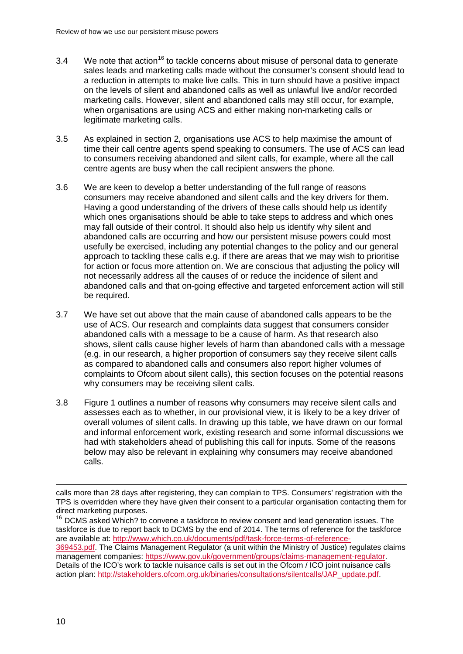- $3.4$  We note that action<sup>[16](#page-12-0)</sup> to tackle concerns about misuse of personal data to generate sales leads and marketing calls made without the consumer's consent should lead to a reduction in attempts to make live calls. This in turn should have a positive impact on the levels of silent and abandoned calls as well as unlawful live and/or recorded marketing calls. However, silent and abandoned calls may still occur, for example, when organisations are using ACS and either making non-marketing calls or legitimate marketing calls.
- 3.5 As explained in section 2, organisations use ACS to help maximise the amount of time their call centre agents spend speaking to consumers. The use of ACS can lead to consumers receiving abandoned and silent calls, for example, where all the call centre agents are busy when the call recipient answers the phone.
- 3.6 We are keen to develop a better understanding of the full range of reasons consumers may receive abandoned and silent calls and the key drivers for them. Having a good understanding of the drivers of these calls should help us identify which ones organisations should be able to take steps to address and which ones may fall outside of their control. It should also help us identify why silent and abandoned calls are occurring and how our persistent misuse powers could most usefully be exercised, including any potential changes to the policy and our general approach to tackling these calls e.g. if there are areas that we may wish to prioritise for action or focus more attention on. We are conscious that adjusting the policy will not necessarily address all the causes of or reduce the incidence of silent and abandoned calls and that on-going effective and targeted enforcement action will still be required.
- 3.7 We have set out above that the main cause of abandoned calls appears to be the use of ACS. Our research and complaints data suggest that consumers consider abandoned calls with a message to be a cause of harm. As that research also shows, silent calls cause higher levels of harm than abandoned calls with a message (e.g. in our research, a higher proportion of consumers say they receive silent calls as compared to abandoned calls and consumers also report higher volumes of complaints to Ofcom about silent calls), this section focuses on the potential reasons why consumers may be receiving silent calls.
- 3.8 Figure 1 outlines a number of reasons why consumers may receive silent calls and assesses each as to whether, in our provisional view, it is likely to be a key driver of overall volumes of silent calls. In drawing up this table, we have drawn on our formal and informal enforcement work, existing research and some informal discussions we had with stakeholders ahead of publishing this call for inputs. Some of the reasons below may also be relevant in explaining why consumers may receive abandoned calls.

calls more than 28 days after registering, they can complain to TPS. Consumers' registration with the TPS is overridden where they have given their consent to a particular organisation contacting them for direct marketing purposes. -

<span id="page-12-0"></span> $16$  DCMS asked Which? to convene a taskforce to review consent and lead generation issues. The taskforce is due to report back to DCMS by the end of 2014. The terms of reference for the taskforce are available at: [http://www.which.co.uk/documents/pdf/task-force-terms-of-reference-](http://www.which.co.uk/documents/pdf/task-force-terms-of-reference-369453.pdf)[369453.pdf.](http://www.which.co.uk/documents/pdf/task-force-terms-of-reference-369453.pdf) The Claims Management Regulator (a unit within the Ministry of Justice) regulates claims management companies: [https://www.gov.uk/government/groups/claims-management-regulator.](https://www.gov.uk/government/groups/claims-management-regulator) Details of the ICO's work to tackle nuisance calls is set out in the Ofcom / ICO joint nuisance calls action plan: [http://stakeholders.ofcom.org.uk/binaries/consultations/silentcalls/JAP\\_update.pdf.](http://stakeholders.ofcom.org.uk/binaries/consultations/silentcalls/JAP_update.pdf)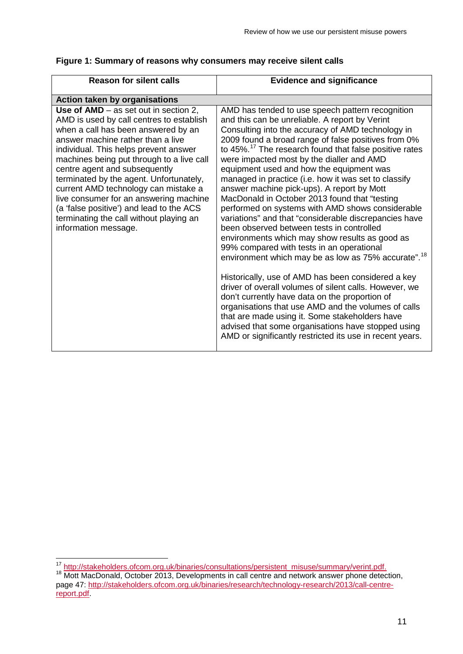| <b>Reason for silent calls</b>                                                                                                                                                                                                                                                                                                                                                                                                                                                                                                      | <b>Evidence and significance</b>                                                                                                                                                                                                                                                                                                                                                                                                                                                                                                                                                                                                                                                                                                                                                                                                                                                                                                                                                                                                                                                                                                                                                                                                                              |
|-------------------------------------------------------------------------------------------------------------------------------------------------------------------------------------------------------------------------------------------------------------------------------------------------------------------------------------------------------------------------------------------------------------------------------------------------------------------------------------------------------------------------------------|---------------------------------------------------------------------------------------------------------------------------------------------------------------------------------------------------------------------------------------------------------------------------------------------------------------------------------------------------------------------------------------------------------------------------------------------------------------------------------------------------------------------------------------------------------------------------------------------------------------------------------------------------------------------------------------------------------------------------------------------------------------------------------------------------------------------------------------------------------------------------------------------------------------------------------------------------------------------------------------------------------------------------------------------------------------------------------------------------------------------------------------------------------------------------------------------------------------------------------------------------------------|
| <b>Action taken by organisations</b>                                                                                                                                                                                                                                                                                                                                                                                                                                                                                                |                                                                                                                                                                                                                                                                                                                                                                                                                                                                                                                                                                                                                                                                                                                                                                                                                                                                                                                                                                                                                                                                                                                                                                                                                                                               |
| Use of $AMD - as set out in section 2$ ,<br>AMD is used by call centres to establish<br>when a call has been answered by an<br>answer machine rather than a live<br>individual. This helps prevent answer<br>machines being put through to a live call<br>centre agent and subsequently<br>terminated by the agent. Unfortunately,<br>current AMD technology can mistake a<br>live consumer for an answering machine<br>(a 'false positive') and lead to the ACS<br>terminating the call without playing an<br>information message. | AMD has tended to use speech pattern recognition<br>and this can be unreliable. A report by Verint<br>Consulting into the accuracy of AMD technology in<br>2009 found a broad range of false positives from 0%<br>to 45%. <sup>17</sup> The research found that false positive rates<br>were impacted most by the dialler and AMD<br>equipment used and how the equipment was<br>managed in practice (i.e. how it was set to classify<br>answer machine pick-ups). A report by Mott<br>MacDonald in October 2013 found that "testing<br>performed on systems with AMD shows considerable<br>variations" and that "considerable discrepancies have<br>been observed between tests in controlled<br>environments which may show results as good as<br>99% compared with tests in an operational<br>environment which may be as low as 75% accurate". <sup>18</sup><br>Historically, use of AMD has been considered a key<br>driver of overall volumes of silent calls. However, we<br>don't currently have data on the proportion of<br>organisations that use AMD and the volumes of calls<br>that are made using it. Some stakeholders have<br>advised that some organisations have stopped using<br>AMD or significantly restricted its use in recent years. |

### **Figure 1: Summary of reasons why consumers may receive silent calls**

<span id="page-13-0"></span><sup>&</sup>lt;sup>17</sup> [http://stakeholders.ofcom.org.uk/binaries/consultations/persistent\\_misuse/summary/verint.pdf.](http://stakeholders.ofcom.org.uk/binaries/consultations/persistent_misuse/summary/verint.pdf)<br><sup>18</sup> Mott MacDonald, October 2013, Developments in call centre and network answer phone detection,  $\overline{1}$ 

<span id="page-13-1"></span>page 47: [http://stakeholders.ofcom.org.uk/binaries/research/technology-research/2013/call-centre](http://stakeholders.ofcom.org.uk/binaries/research/technology-research/2013/call-centre-report.pdf)[report.pdf.](http://stakeholders.ofcom.org.uk/binaries/research/technology-research/2013/call-centre-report.pdf)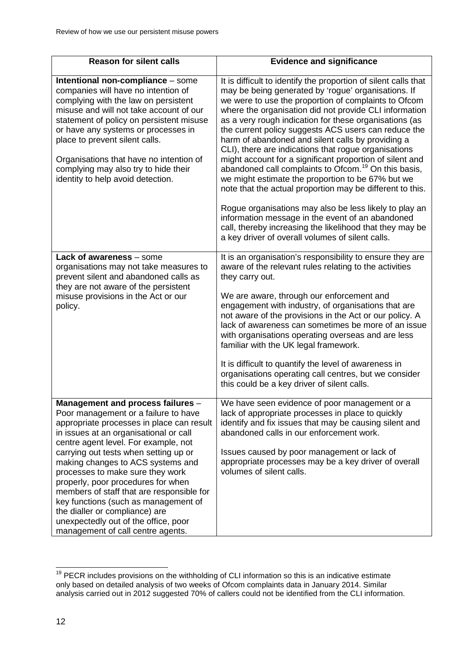| <b>Reason for silent calls</b>                                                                                                                                                                                                                                                                                                                                                                                                                                                                                                                                       | <b>Evidence and significance</b>                                                                                                                                                                                                                                                                                                                                                                                                                                                                                                                                                                                                                                                                                                                                                                                                                                                                                                                        |
|----------------------------------------------------------------------------------------------------------------------------------------------------------------------------------------------------------------------------------------------------------------------------------------------------------------------------------------------------------------------------------------------------------------------------------------------------------------------------------------------------------------------------------------------------------------------|---------------------------------------------------------------------------------------------------------------------------------------------------------------------------------------------------------------------------------------------------------------------------------------------------------------------------------------------------------------------------------------------------------------------------------------------------------------------------------------------------------------------------------------------------------------------------------------------------------------------------------------------------------------------------------------------------------------------------------------------------------------------------------------------------------------------------------------------------------------------------------------------------------------------------------------------------------|
| Intentional non-compliance - some<br>companies will have no intention of<br>complying with the law on persistent<br>misuse and will not take account of our<br>statement of policy on persistent misuse<br>or have any systems or processes in<br>place to prevent silent calls.<br>Organisations that have no intention of<br>complying may also try to hide their<br>identity to help avoid detection.                                                                                                                                                             | It is difficult to identify the proportion of silent calls that<br>may be being generated by 'rogue' organisations. If<br>we were to use the proportion of complaints to Ofcom<br>where the organisation did not provide CLI information<br>as a very rough indication for these organisations (as<br>the current policy suggests ACS users can reduce the<br>harm of abandoned and silent calls by providing a<br>CLI), there are indications that rogue organisations<br>might account for a significant proportion of silent and<br>abandoned call complaints to Ofcom. <sup>19</sup> On this basis,<br>we might estimate the proportion to be 67% but we<br>note that the actual proportion may be different to this.<br>Rogue organisations may also be less likely to play an<br>information message in the event of an abandoned<br>call, thereby increasing the likelihood that they may be<br>a key driver of overall volumes of silent calls. |
| Lack of awareness - some<br>organisations may not take measures to<br>prevent silent and abandoned calls as<br>they are not aware of the persistent<br>misuse provisions in the Act or our<br>policy.                                                                                                                                                                                                                                                                                                                                                                | It is an organisation's responsibility to ensure they are<br>aware of the relevant rules relating to the activities<br>they carry out.<br>We are aware, through our enforcement and<br>engagement with industry, of organisations that are<br>not aware of the provisions in the Act or our policy. A<br>lack of awareness can sometimes be more of an issue<br>with organisations operating overseas and are less<br>familiar with the UK legal framework.<br>It is difficult to quantify the level of awareness in<br>organisations operating call centres, but we consider<br>this could be a key driver of silent calls.                                                                                                                                                                                                                                                                                                                            |
| Management and process failures -<br>Poor management or a failure to have<br>appropriate processes in place can result<br>in issues at an organisational or call<br>centre agent level. For example, not<br>carrying out tests when setting up or<br>making changes to ACS systems and<br>processes to make sure they work<br>properly, poor procedures for when<br>members of staff that are responsible for<br>key functions (such as management of<br>the dialler or compliance) are<br>unexpectedly out of the office, poor<br>management of call centre agents. | We have seen evidence of poor management or a<br>lack of appropriate processes in place to quickly<br>identify and fix issues that may be causing silent and<br>abandoned calls in our enforcement work.<br>Issues caused by poor management or lack of<br>appropriate processes may be a key driver of overall<br>volumes of silent calls.                                                                                                                                                                                                                                                                                                                                                                                                                                                                                                                                                                                                             |

<span id="page-14-0"></span><sup>&</sup>lt;sup>19</sup> PECR includes provisions on the withholding of CLI information so this is an indicative estimate only based on detailed analysis of two weeks of Ofcom complaints data in January 2014. Similar analysis carried out in 2012 suggested 70% of callers could not be identified from the CLI information.  $\overline{a}$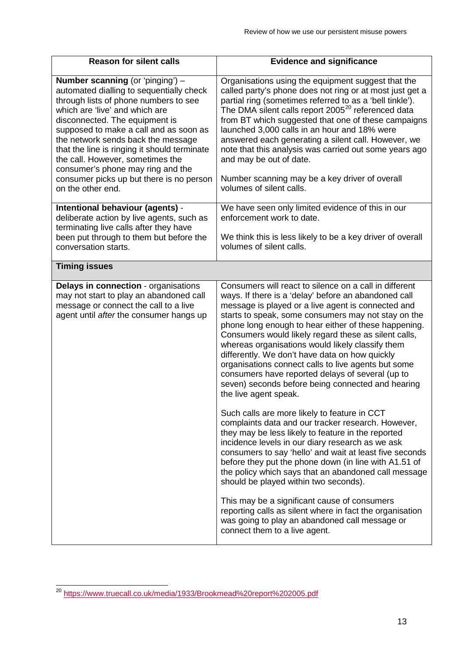| <b>Reason for silent calls</b>                                                                                                                                                                                                                                                                                                                                                                                                                                             | <b>Evidence and significance</b>                                                                                                                                                                                                                                                                                                                                                                                                                                                                                                                                                                                                                                                                                                                                                                                                                                                                                                                                                                                                                                                                                                                                                                                                                                               |
|----------------------------------------------------------------------------------------------------------------------------------------------------------------------------------------------------------------------------------------------------------------------------------------------------------------------------------------------------------------------------------------------------------------------------------------------------------------------------|--------------------------------------------------------------------------------------------------------------------------------------------------------------------------------------------------------------------------------------------------------------------------------------------------------------------------------------------------------------------------------------------------------------------------------------------------------------------------------------------------------------------------------------------------------------------------------------------------------------------------------------------------------------------------------------------------------------------------------------------------------------------------------------------------------------------------------------------------------------------------------------------------------------------------------------------------------------------------------------------------------------------------------------------------------------------------------------------------------------------------------------------------------------------------------------------------------------------------------------------------------------------------------|
| <b>Number scanning (or 'pinging') -</b><br>automated dialling to sequentially check<br>through lists of phone numbers to see<br>which are 'live' and which are<br>disconnected. The equipment is<br>supposed to make a call and as soon as<br>the network sends back the message<br>that the line is ringing it should terminate<br>the call. However, sometimes the<br>consumer's phone may ring and the<br>consumer picks up but there is no person<br>on the other end. | Organisations using the equipment suggest that the<br>called party's phone does not ring or at most just get a<br>partial ring (sometimes referred to as a 'bell tinkle').<br>The DMA silent calls report 2005 <sup>20</sup> referenced data<br>from BT which suggested that one of these campaigns<br>launched 3,000 calls in an hour and 18% were<br>answered each generating a silent call. However, we<br>note that this analysis was carried out some years ago<br>and may be out of date.<br>Number scanning may be a key driver of overall<br>volumes of silent calls.                                                                                                                                                                                                                                                                                                                                                                                                                                                                                                                                                                                                                                                                                                  |
| Intentional behaviour (agents) -<br>deliberate action by live agents, such as<br>terminating live calls after they have                                                                                                                                                                                                                                                                                                                                                    | We have seen only limited evidence of this in our<br>enforcement work to date.                                                                                                                                                                                                                                                                                                                                                                                                                                                                                                                                                                                                                                                                                                                                                                                                                                                                                                                                                                                                                                                                                                                                                                                                 |
| been put through to them but before the<br>conversation starts.                                                                                                                                                                                                                                                                                                                                                                                                            | We think this is less likely to be a key driver of overall<br>volumes of silent calls.                                                                                                                                                                                                                                                                                                                                                                                                                                                                                                                                                                                                                                                                                                                                                                                                                                                                                                                                                                                                                                                                                                                                                                                         |
| <b>Timing issues</b>                                                                                                                                                                                                                                                                                                                                                                                                                                                       |                                                                                                                                                                                                                                                                                                                                                                                                                                                                                                                                                                                                                                                                                                                                                                                                                                                                                                                                                                                                                                                                                                                                                                                                                                                                                |
| Delays in connection - organisations<br>may not start to play an abandoned call<br>message or connect the call to a live<br>agent until after the consumer hangs up                                                                                                                                                                                                                                                                                                        | Consumers will react to silence on a call in different<br>ways. If there is a 'delay' before an abandoned call<br>message is played or a live agent is connected and<br>starts to speak, some consumers may not stay on the<br>phone long enough to hear either of these happening.<br>Consumers would likely regard these as silent calls,<br>whereas organisations would likely classify them<br>differently. We don't have data on how quickly<br>organisations connect calls to live agents but some<br>consumers have reported delays of several (up to<br>seven) seconds before being connected and hearing<br>the live agent speak.<br>Such calls are more likely to feature in CCT<br>complaints data and our tracker research. However,<br>they may be less likely to feature in the reported<br>incidence levels in our diary research as we ask<br>consumers to say 'hello' and wait at least five seconds<br>before they put the phone down (in line with A1.51 of<br>the policy which says that an abandoned call message<br>should be played within two seconds).<br>This may be a significant cause of consumers<br>reporting calls as silent where in fact the organisation<br>was going to play an abandoned call message or<br>connect them to a live agent. |

<span id="page-15-0"></span><sup>&</sup>lt;sup>20</sup> <https://www.truecall.co.uk/media/1933/Brookmead%20report%202005.pdf>  $\overline{a}$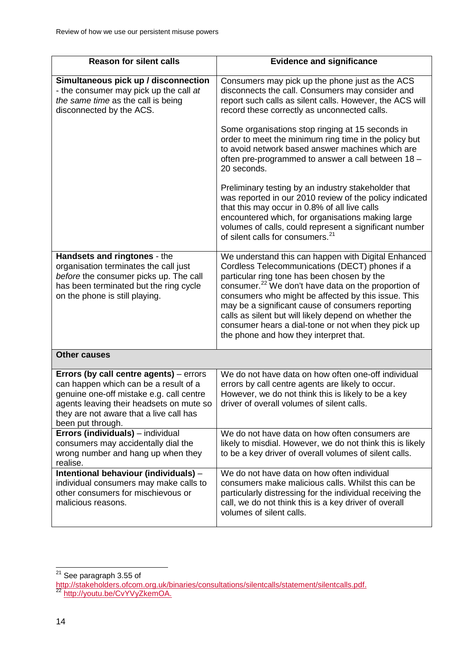| <b>Reason for silent calls</b>                                                                                                                                                                                                           | <b>Evidence and significance</b>                                                                                                                                                                                                                                                                                                                                                                                                                                                              |
|------------------------------------------------------------------------------------------------------------------------------------------------------------------------------------------------------------------------------------------|-----------------------------------------------------------------------------------------------------------------------------------------------------------------------------------------------------------------------------------------------------------------------------------------------------------------------------------------------------------------------------------------------------------------------------------------------------------------------------------------------|
| Simultaneous pick up / disconnection<br>- the consumer may pick up the call at<br>the same time as the call is being<br>disconnected by the ACS.                                                                                         | Consumers may pick up the phone just as the ACS<br>disconnects the call. Consumers may consider and<br>report such calls as silent calls. However, the ACS will<br>record these correctly as unconnected calls.                                                                                                                                                                                                                                                                               |
|                                                                                                                                                                                                                                          | Some organisations stop ringing at 15 seconds in<br>order to meet the minimum ring time in the policy but<br>to avoid network based answer machines which are<br>often pre-programmed to answer a call between 18 -<br>20 seconds.                                                                                                                                                                                                                                                            |
|                                                                                                                                                                                                                                          | Preliminary testing by an industry stakeholder that<br>was reported in our 2010 review of the policy indicated<br>that this may occur in 0.8% of all live calls<br>encountered which, for organisations making large<br>volumes of calls, could represent a significant number<br>of silent calls for consumers. <sup>21</sup>                                                                                                                                                                |
| Handsets and ringtones - the<br>organisation terminates the call just<br>before the consumer picks up. The call<br>has been terminated but the ring cycle<br>on the phone is still playing.                                              | We understand this can happen with Digital Enhanced<br>Cordless Telecommunications (DECT) phones if a<br>particular ring tone has been chosen by the<br>consumer. <sup>22</sup> We don't have data on the proportion of<br>consumers who might be affected by this issue. This<br>may be a significant cause of consumers reporting<br>calls as silent but will likely depend on whether the<br>consumer hears a dial-tone or not when they pick up<br>the phone and how they interpret that. |
| <b>Other causes</b>                                                                                                                                                                                                                      |                                                                                                                                                                                                                                                                                                                                                                                                                                                                                               |
| Errors (by call centre agents) - errors<br>can happen which can be a result of a<br>genuine one-off mistake e.g. call centre<br>agents leaving their headsets on mute so<br>they are not aware that a live call has<br>been put through. | We do not have data on how often one-off individual<br>errors by call centre agents are likely to occur.<br>However, we do not think this is likely to be a key<br>driver of overall volumes of silent calls.                                                                                                                                                                                                                                                                                 |
| Errors (individuals) - individual<br>consumers may accidentally dial the<br>wrong number and hang up when they<br>realise.                                                                                                               | We do not have data on how often consumers are<br>likely to misdial. However, we do not think this is likely<br>to be a key driver of overall volumes of silent calls.                                                                                                                                                                                                                                                                                                                        |
| Intentional behaviour (individuals) -<br>individual consumers may make calls to<br>other consumers for mischievous or<br>malicious reasons.                                                                                              | We do not have data on how often individual<br>consumers make malicious calls. Whilst this can be<br>particularly distressing for the individual receiving the<br>call, we do not think this is a key driver of overall<br>volumes of silent calls.                                                                                                                                                                                                                                           |

<span id="page-16-0"></span> $21$  See paragraph 3.55 of  $\overline{a}$ 

<span id="page-16-1"></span><sup>&</sup>lt;u>[http://stakeholders.ofcom.org.uk/binaries/consultations/silentcalls/statement/silentcalls.pdf.](http://stakeholders.ofcom.org.uk/binaries/consultations/silentcalls/statement/silentcalls.pdf)</u><br><sup>22</sup> <u>[http://youtu.be/CvYVyZkemOA.](http://youtu.be/CvYVyZkemOA)</u>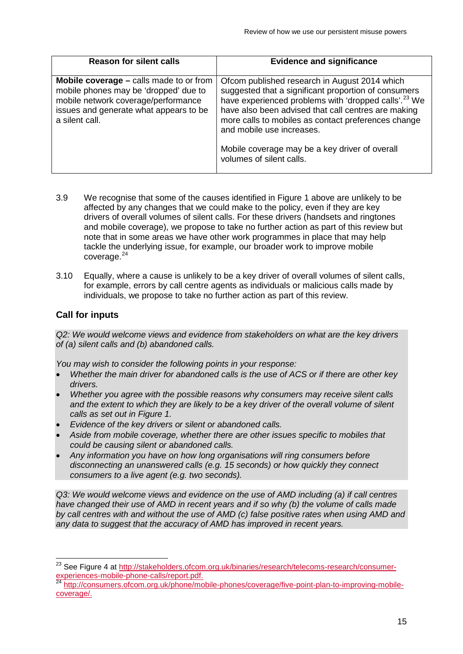| <b>Reason for silent calls</b>                                                                                                                                                             | <b>Evidence and significance</b>                                                                                                                                                                                                                                                                                                                                                                   |
|--------------------------------------------------------------------------------------------------------------------------------------------------------------------------------------------|----------------------------------------------------------------------------------------------------------------------------------------------------------------------------------------------------------------------------------------------------------------------------------------------------------------------------------------------------------------------------------------------------|
| <b>Mobile coverage – calls made to or from</b><br>mobile phones may be 'dropped' due to<br>mobile network coverage/performance<br>issues and generate what appears to be<br>a silent call. | Ofcom published research in August 2014 which<br>suggested that a significant proportion of consumers<br>have experienced problems with 'dropped calls'. <sup>23</sup> We<br>have also been advised that call centres are making<br>more calls to mobiles as contact preferences change<br>and mobile use increases.<br>Mobile coverage may be a key driver of overall<br>volumes of silent calls. |

- 3.9 We recognise that some of the causes identified in Figure 1 above are unlikely to be affected by any changes that we could make to the policy, even if they are key drivers of overall volumes of silent calls. For these drivers (handsets and ringtones and mobile coverage), we propose to take no further action as part of this review but note that in some areas we have other work programmes in place that may help tackle the underlying issue, for example, our broader work to improve mobile coverage.<sup>[24](#page-17-1)</sup>
- 3.10 Equally, where a cause is unlikely to be a key driver of overall volumes of silent calls, for example, errors by call centre agents as individuals or malicious calls made by individuals, we propose to take no further action as part of this review.

## **Call for inputs**

*Q2: We would welcome views and evidence from stakeholders on what are the key drivers of (a) silent calls and (b) abandoned calls.* 

*You may wish to consider the following points in your response:*

- *Whether the main driver for abandoned calls is the use of ACS or if there are other key drivers.*
- *Whether you agree with the possible reasons why consumers may receive silent calls and the extent to which they are likely to be a key driver of the overall volume of silent calls as set out in Figure 1.*
- *Evidence of the key drivers or silent or abandoned calls.*
- *Aside from mobile coverage, whether there are other issues specific to mobiles that could be causing silent or abandoned calls.*
- *Any information you have on how long organisations will ring consumers before disconnecting an unanswered calls (e.g. 15 seconds) or how quickly they connect consumers to a live agent (e.g. two seconds).*

*Q3: We would welcome views and evidence on the use of AMD including (a) if call centres have changed their use of AMD in recent years and if so why (b) the volume of calls made by call centres with and without the use of AMD (c) false positive rates when using AMD and any data to suggest that the accuracy of AMD has improved in recent years.* 

<span id="page-17-0"></span><sup>&</sup>lt;sup>23</sup> See Figure 4 at [http://stakeholders.ofcom.org.uk/binaries/research/telecoms-research/consumer](http://stakeholders.ofcom.org.uk/binaries/research/telecoms-research/consumer-experiences-mobile-phone-calls/report.pdf)[experiences-mobile-phone-calls/report.pdf.](http://stakeholders.ofcom.org.uk/binaries/research/telecoms-research/consumer-experiences-mobile-phone-calls/report.pdf)<br><sup>24</sup> [http://consumers.ofcom.org.uk/phone/mobile-phones/coverage/five-point-plan-to-improving-mobile-](http://consumers.ofcom.org.uk/phone/mobile-phones/coverage/five-point-plan-to-improving-mobile-coverage/) $\overline{a}$ 

<span id="page-17-1"></span>[coverage/.](http://consumers.ofcom.org.uk/phone/mobile-phones/coverage/five-point-plan-to-improving-mobile-coverage/)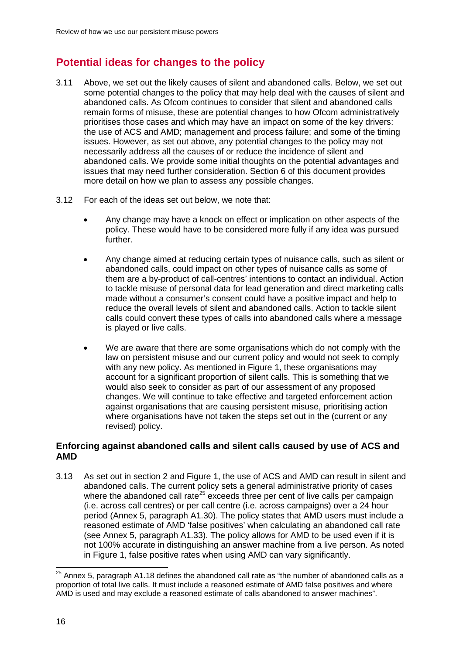# **Potential ideas for changes to the policy**

- 3.11 Above, we set out the likely causes of silent and abandoned calls. Below, we set out some potential changes to the policy that may help deal with the causes of silent and abandoned calls. As Ofcom continues to consider that silent and abandoned calls remain forms of misuse, these are potential changes to how Ofcom administratively prioritises those cases and which may have an impact on some of the key drivers: the use of ACS and AMD; management and process failure; and some of the timing issues. However, as set out above, any potential changes to the policy may not necessarily address all the causes of or reduce the incidence of silent and abandoned calls. We provide some initial thoughts on the potential advantages and issues that may need further consideration. Section 6 of this document provides more detail on how we plan to assess any possible changes.
- 3.12 For each of the ideas set out below, we note that:
	- Any change may have a knock on effect or implication on other aspects of the policy. These would have to be considered more fully if any idea was pursued further.
	- Any change aimed at reducing certain types of nuisance calls, such as silent or abandoned calls, could impact on other types of nuisance calls as some of them are a by-product of call-centres' intentions to contact an individual. Action to tackle misuse of personal data for lead generation and direct marketing calls made without a consumer's consent could have a positive impact and help to reduce the overall levels of silent and abandoned calls. Action to tackle silent calls could convert these types of calls into abandoned calls where a message is played or live calls.
	- We are aware that there are some organisations which do not comply with the law on persistent misuse and our current policy and would not seek to comply with any new policy. As mentioned in Figure 1, these organisations may account for a significant proportion of silent calls. This is something that we would also seek to consider as part of our assessment of any proposed changes. We will continue to take effective and targeted enforcement action against organisations that are causing persistent misuse, prioritising action where organisations have not taken the steps set out in the (current or any revised) policy.

### **Enforcing against abandoned calls and silent calls caused by use of ACS and AMD**

3.13 As set out in section 2 and Figure 1, the use of ACS and AMD can result in silent and abandoned calls. The current policy sets a general administrative priority of cases where the abandoned call rate<sup>[25](#page-18-0)</sup> exceeds three per cent of live calls per campaign (i.e. across call centres) or per call centre (i.e. across campaigns) over a 24 hour period (Annex 5, paragraph A1.30). The policy states that AMD users must include a reasoned estimate of AMD 'false positives' when calculating an abandoned call rate (see Annex 5, paragraph A1.33). The policy allows for AMD to be used even if it is not 100% accurate in distinguishing an answer machine from a live person. As noted in Figure 1, false positive rates when using AMD can vary significantly.

<span id="page-18-0"></span> $^{25}$  Annex 5, paragraph A1.18 defines the abandoned call rate as "the number of abandoned calls as a proportion of total live calls. It must include a reasoned estimate of AMD false positives and where AMD is used and may exclude a reasoned estimate of calls abandoned to answer machines".  $\overline{a}$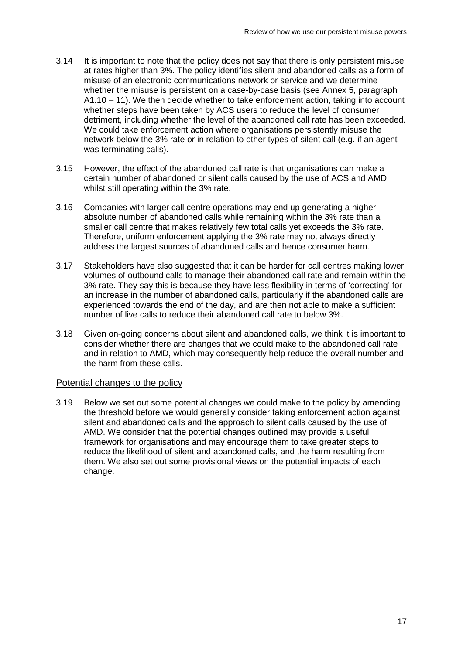- 3.14 It is important to note that the policy does not say that there is only persistent misuse at rates higher than 3%. The policy identifies silent and abandoned calls as a form of misuse of an electronic communications network or service and we determine whether the misuse is persistent on a case-by-case basis (see Annex 5, paragraph A1.10 – 11). We then decide whether to take enforcement action, taking into account whether steps have been taken by ACS users to reduce the level of consumer detriment, including whether the level of the abandoned call rate has been exceeded. We could take enforcement action where organisations persistently misuse the network below the 3% rate or in relation to other types of silent call (e.g. if an agent was terminating calls).
- 3.15 However, the effect of the abandoned call rate is that organisations can make a certain number of abandoned or silent calls caused by the use of ACS and AMD whilst still operating within the 3% rate.
- 3.16 Companies with larger call centre operations may end up generating a higher absolute number of abandoned calls while remaining within the 3% rate than a smaller call centre that makes relatively few total calls yet exceeds the 3% rate. Therefore, uniform enforcement applying the 3% rate may not always directly address the largest sources of abandoned calls and hence consumer harm.
- 3.17 Stakeholders have also suggested that it can be harder for call centres making lower volumes of outbound calls to manage their abandoned call rate and remain within the 3% rate. They say this is because they have less flexibility in terms of 'correcting' for an increase in the number of abandoned calls, particularly if the abandoned calls are experienced towards the end of the day, and are then not able to make a sufficient number of live calls to reduce their abandoned call rate to below 3%.
- 3.18 Given on-going concerns about silent and abandoned calls, we think it is important to consider whether there are changes that we could make to the abandoned call rate and in relation to AMD, which may consequently help reduce the overall number and the harm from these calls.

#### Potential changes to the policy

3.19 Below we set out some potential changes we could make to the policy by amending the threshold before we would generally consider taking enforcement action against silent and abandoned calls and the approach to silent calls caused by the use of AMD. We consider that the potential changes outlined may provide a useful framework for organisations and may encourage them to take greater steps to reduce the likelihood of silent and abandoned calls, and the harm resulting from them. We also set out some provisional views on the potential impacts of each change.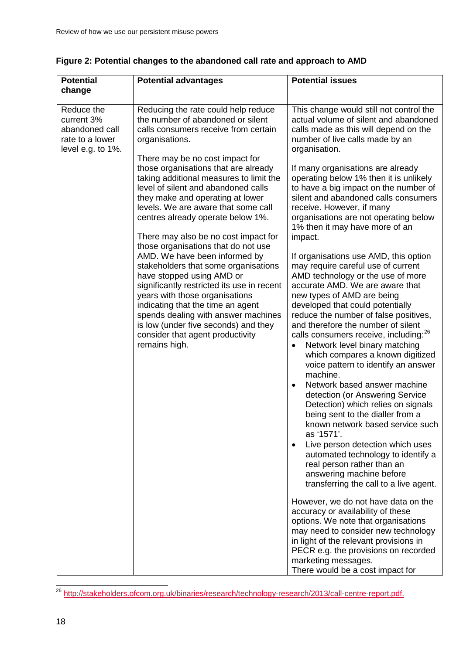| <b>Potential</b><br>change                                                         | <b>Potential advantages</b>                                                                                                                                                                                                                                                                                                                                                                                                                                                                                                                                                                                                                                                                                                                                                                                                                                   | <b>Potential issues</b>                                                                                                                                                                                                                                                                                                                                                                                                                                                                                                                                                                                                                                                                                                                                                                                                                                                                                                                                                                                                                                                                                                                                                                                                                                                                                                                                                                                                                                                                                                                                                                                                         |
|------------------------------------------------------------------------------------|---------------------------------------------------------------------------------------------------------------------------------------------------------------------------------------------------------------------------------------------------------------------------------------------------------------------------------------------------------------------------------------------------------------------------------------------------------------------------------------------------------------------------------------------------------------------------------------------------------------------------------------------------------------------------------------------------------------------------------------------------------------------------------------------------------------------------------------------------------------|---------------------------------------------------------------------------------------------------------------------------------------------------------------------------------------------------------------------------------------------------------------------------------------------------------------------------------------------------------------------------------------------------------------------------------------------------------------------------------------------------------------------------------------------------------------------------------------------------------------------------------------------------------------------------------------------------------------------------------------------------------------------------------------------------------------------------------------------------------------------------------------------------------------------------------------------------------------------------------------------------------------------------------------------------------------------------------------------------------------------------------------------------------------------------------------------------------------------------------------------------------------------------------------------------------------------------------------------------------------------------------------------------------------------------------------------------------------------------------------------------------------------------------------------------------------------------------------------------------------------------------|
| Reduce the<br>current 3%<br>abandoned call<br>rate to a lower<br>level e.g. to 1%. | Reducing the rate could help reduce<br>the number of abandoned or silent<br>calls consumers receive from certain<br>organisations.<br>There may be no cost impact for<br>those organisations that are already<br>taking additional measures to limit the<br>level of silent and abandoned calls<br>they make and operating at lower<br>levels. We are aware that some call<br>centres already operate below 1%.<br>There may also be no cost impact for<br>those organisations that do not use<br>AMD. We have been informed by<br>stakeholders that some organisations<br>have stopped using AMD or<br>significantly restricted its use in recent<br>years with those organisations<br>indicating that the time an agent<br>spends dealing with answer machines<br>is low (under five seconds) and they<br>consider that agent productivity<br>remains high. | This change would still not control the<br>actual volume of silent and abandoned<br>calls made as this will depend on the<br>number of live calls made by an<br>organisation.<br>If many organisations are already<br>operating below 1% then it is unlikely<br>to have a big impact on the number of<br>silent and abandoned calls consumers<br>receive. However, if many<br>organisations are not operating below<br>1% then it may have more of an<br>impact.<br>If organisations use AMD, this option<br>may require careful use of current<br>AMD technology or the use of more<br>accurate AMD. We are aware that<br>new types of AMD are being<br>developed that could potentially<br>reduce the number of false positives,<br>and therefore the number of silent<br>calls consumers receive, including: <sup>26</sup><br>Network level binary matching<br>which compares a known digitized<br>voice pattern to identify an answer<br>machine.<br>Network based answer machine<br>$\bullet$<br>detection (or Answering Service<br>Detection) which relies on signals<br>being sent to the dialler from a<br>known network based service such<br>as '1571'.<br>Live person detection which uses<br>$\bullet$<br>automated technology to identify a<br>real person rather than an<br>answering machine before<br>transferring the call to a live agent.<br>However, we do not have data on the<br>accuracy or availability of these<br>options. We note that organisations<br>may need to consider new technology<br>in light of the relevant provisions in<br>PECR e.g. the provisions on recorded<br>marketing messages. |
|                                                                                    |                                                                                                                                                                                                                                                                                                                                                                                                                                                                                                                                                                                                                                                                                                                                                                                                                                                               | There would be a cost impact for                                                                                                                                                                                                                                                                                                                                                                                                                                                                                                                                                                                                                                                                                                                                                                                                                                                                                                                                                                                                                                                                                                                                                                                                                                                                                                                                                                                                                                                                                                                                                                                                |

### **Figure 2: Potential changes to the abandoned call rate and approach to AMD**

<span id="page-20-0"></span><sup>&</sup>lt;sup>26</sup> [http://stakeholders.ofcom.org.uk/binaries/research/technology-research/2013/call-centre-report.pdf.](http://stakeholders.ofcom.org.uk/binaries/research/technology-research/2013/call-centre-report.pdf)  $\overline{a}$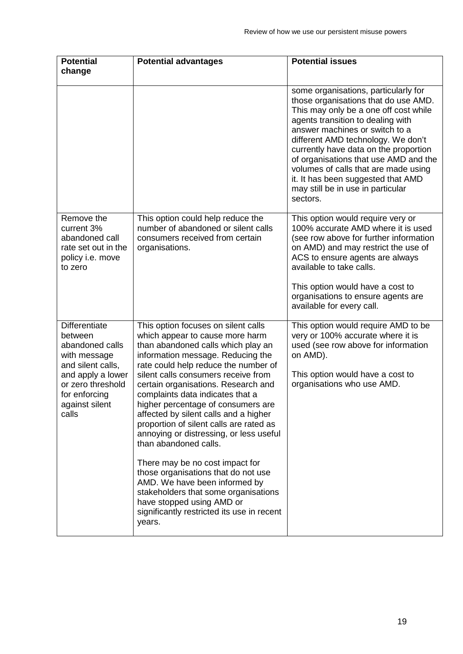| <b>Potential</b>                                                                                                                                                              | <b>Potential advantages</b>                                                                                                                                                                                                                                                                                                                                                                                                                                                                                                                                                                                                                                                                                                                       | <b>Potential issues</b>                                                                                                                                                                                                                                                                                                                                                                                                                             |
|-------------------------------------------------------------------------------------------------------------------------------------------------------------------------------|---------------------------------------------------------------------------------------------------------------------------------------------------------------------------------------------------------------------------------------------------------------------------------------------------------------------------------------------------------------------------------------------------------------------------------------------------------------------------------------------------------------------------------------------------------------------------------------------------------------------------------------------------------------------------------------------------------------------------------------------------|-----------------------------------------------------------------------------------------------------------------------------------------------------------------------------------------------------------------------------------------------------------------------------------------------------------------------------------------------------------------------------------------------------------------------------------------------------|
| change                                                                                                                                                                        |                                                                                                                                                                                                                                                                                                                                                                                                                                                                                                                                                                                                                                                                                                                                                   |                                                                                                                                                                                                                                                                                                                                                                                                                                                     |
|                                                                                                                                                                               |                                                                                                                                                                                                                                                                                                                                                                                                                                                                                                                                                                                                                                                                                                                                                   | some organisations, particularly for<br>those organisations that do use AMD.<br>This may only be a one off cost while<br>agents transition to dealing with<br>answer machines or switch to a<br>different AMD technology. We don't<br>currently have data on the proportion<br>of organisations that use AMD and the<br>volumes of calls that are made using<br>it. It has been suggested that AMD<br>may still be in use in particular<br>sectors. |
| Remove the<br>current 3%<br>abandoned call<br>rate set out in the<br>policy i.e. move<br>to zero                                                                              | This option could help reduce the<br>number of abandoned or silent calls<br>consumers received from certain<br>organisations.                                                                                                                                                                                                                                                                                                                                                                                                                                                                                                                                                                                                                     | This option would require very or<br>100% accurate AMD where it is used<br>(see row above for further information<br>on AMD) and may restrict the use of<br>ACS to ensure agents are always<br>available to take calls.<br>This option would have a cost to<br>organisations to ensure agents are<br>available for every call.                                                                                                                      |
| <b>Differentiate</b><br>between<br>abandoned calls<br>with message<br>and silent calls,<br>and apply a lower<br>or zero threshold<br>for enforcing<br>against silent<br>calls | This option focuses on silent calls<br>which appear to cause more harm<br>than abandoned calls which play an<br>information message. Reducing the<br>rate could help reduce the number of<br>silent calls consumers receive from<br>certain organisations. Research and<br>complaints data indicates that a<br>higher percentage of consumers are<br>affected by silent calls and a higher<br>proportion of silent calls are rated as<br>annoying or distressing, or less useful<br>than abandoned calls.<br>There may be no cost impact for<br>those organisations that do not use<br>AMD. We have been informed by<br>stakeholders that some organisations<br>have stopped using AMD or<br>significantly restricted its use in recent<br>years. | This option would require AMD to be<br>very or 100% accurate where it is<br>used (see row above for information<br>on AMD).<br>This option would have a cost to<br>organisations who use AMD.                                                                                                                                                                                                                                                       |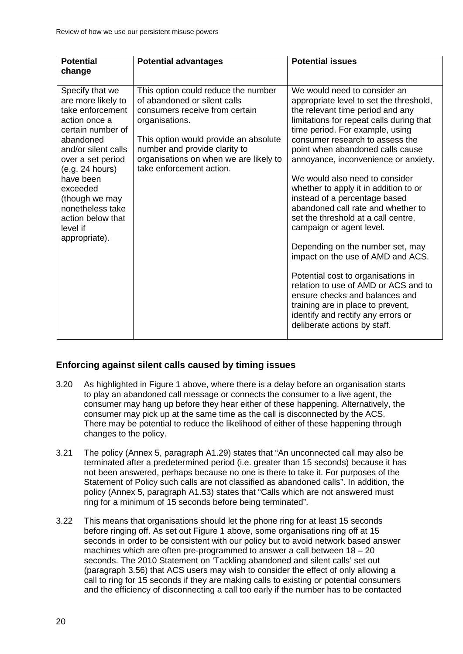| <b>Potential</b><br>change                                                                                                                                                                                                                                                                   | <b>Potential advantages</b>                                                                                                                                                                                                                                             | <b>Potential issues</b>                                                                                                                                                                                                                                                                                                                                                                                                                                                                                                                                                                                                                                                                                                                                                                                                            |
|----------------------------------------------------------------------------------------------------------------------------------------------------------------------------------------------------------------------------------------------------------------------------------------------|-------------------------------------------------------------------------------------------------------------------------------------------------------------------------------------------------------------------------------------------------------------------------|------------------------------------------------------------------------------------------------------------------------------------------------------------------------------------------------------------------------------------------------------------------------------------------------------------------------------------------------------------------------------------------------------------------------------------------------------------------------------------------------------------------------------------------------------------------------------------------------------------------------------------------------------------------------------------------------------------------------------------------------------------------------------------------------------------------------------------|
| Specify that we<br>are more likely to<br>take enforcement<br>action once a<br>certain number of<br>abandoned<br>and/or silent calls<br>over a set period<br>(e.g. 24 hours)<br>have been<br>exceeded<br>(though we may<br>nonetheless take<br>action below that<br>level if<br>appropriate). | This option could reduce the number<br>of abandoned or silent calls<br>consumers receive from certain<br>organisations.<br>This option would provide an absolute<br>number and provide clarity to<br>organisations on when we are likely to<br>take enforcement action. | We would need to consider an<br>appropriate level to set the threshold,<br>the relevant time period and any<br>limitations for repeat calls during that<br>time period. For example, using<br>consumer research to assess the<br>point when abandoned calls cause<br>annoyance, inconvenience or anxiety.<br>We would also need to consider<br>whether to apply it in addition to or<br>instead of a percentage based<br>abandoned call rate and whether to<br>set the threshold at a call centre,<br>campaign or agent level.<br>Depending on the number set, may<br>impact on the use of AMD and ACS.<br>Potential cost to organisations in<br>relation to use of AMD or ACS and to<br>ensure checks and balances and<br>training are in place to prevent,<br>identify and rectify any errors or<br>deliberate actions by staff. |

### **Enforcing against silent calls caused by timing issues**

- 3.20 As highlighted in Figure 1 above, where there is a delay before an organisation starts to play an abandoned call message or connects the consumer to a live agent, the consumer may hang up before they hear either of these happening. Alternatively, the consumer may pick up at the same time as the call is disconnected by the ACS. There may be potential to reduce the likelihood of either of these happening through changes to the policy.
- 3.21 The policy (Annex 5, paragraph A1.29) states that "An unconnected call may also be terminated after a predetermined period (i.e. greater than 15 seconds) because it has not been answered, perhaps because no one is there to take it. For purposes of the Statement of Policy such calls are not classified as abandoned calls". In addition, the policy (Annex 5, paragraph A1.53) states that "Calls which are not answered must ring for a minimum of 15 seconds before being terminated".
- 3.22 This means that organisations should let the phone ring for at least 15 seconds before ringing off. As set out Figure 1 above, some organisations ring off at 15 seconds in order to be consistent with our policy but to avoid network based answer machines which are often pre-programmed to answer a call between 18 – 20 seconds. The 2010 Statement on 'Tackling abandoned and silent calls' set out (paragraph 3.56) that ACS users may wish to consider the effect of only allowing a call to ring for 15 seconds if they are making calls to existing or potential consumers and the efficiency of disconnecting a call too early if the number has to be contacted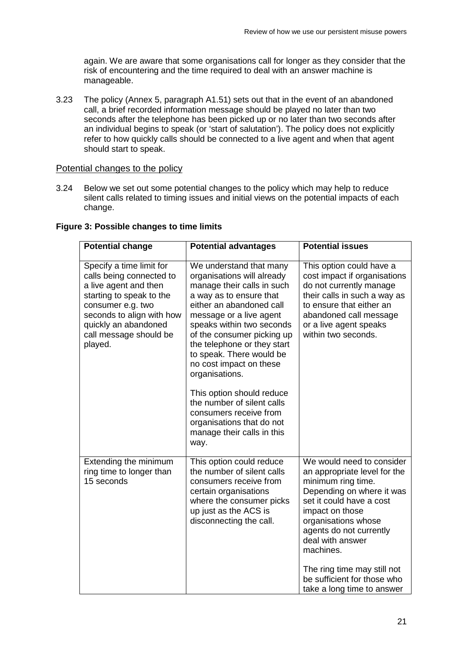again. We are aware that some organisations call for longer as they consider that the risk of encountering and the time required to deal with an answer machine is manageable.

3.23 The policy (Annex 5, paragraph A1.51) sets out that in the event of an abandoned call, a brief recorded information message should be played no later than two seconds after the telephone has been picked up or no later than two seconds after an individual begins to speak (or 'start of salutation'). The policy does not explicitly refer to how quickly calls should be connected to a live agent and when that agent should start to speak.

#### Potential changes to the policy

3.24 Below we set out some potential changes to the policy which may help to reduce silent calls related to timing issues and initial views on the potential impacts of each change.

| <b>Potential change</b>                                                                                                                                                                                                  | <b>Potential advantages</b>                                                                                                                                                                                                                                                                                                                                                                                                                                                                      | <b>Potential issues</b>                                                                                                                                                                                                                                                                                                                    |
|--------------------------------------------------------------------------------------------------------------------------------------------------------------------------------------------------------------------------|--------------------------------------------------------------------------------------------------------------------------------------------------------------------------------------------------------------------------------------------------------------------------------------------------------------------------------------------------------------------------------------------------------------------------------------------------------------------------------------------------|--------------------------------------------------------------------------------------------------------------------------------------------------------------------------------------------------------------------------------------------------------------------------------------------------------------------------------------------|
| Specify a time limit for<br>calls being connected to<br>a live agent and then<br>starting to speak to the<br>consumer e.g. two<br>seconds to align with how<br>quickly an abandoned<br>call message should be<br>played. | We understand that many<br>organisations will already<br>manage their calls in such<br>a way as to ensure that<br>either an abandoned call<br>message or a live agent<br>speaks within two seconds<br>of the consumer picking up<br>the telephone or they start<br>to speak. There would be<br>no cost impact on these<br>organisations.<br>This option should reduce<br>the number of silent calls<br>consumers receive from<br>organisations that do not<br>manage their calls in this<br>way. | This option could have a<br>cost impact if organisations<br>do not currently manage<br>their calls in such a way as<br>to ensure that either an<br>abandoned call message<br>or a live agent speaks<br>within two seconds.                                                                                                                 |
| Extending the minimum<br>ring time to longer than<br>15 seconds                                                                                                                                                          | This option could reduce<br>the number of silent calls<br>consumers receive from<br>certain organisations<br>where the consumer picks<br>up just as the ACS is<br>disconnecting the call.                                                                                                                                                                                                                                                                                                        | We would need to consider<br>an appropriate level for the<br>minimum ring time.<br>Depending on where it was<br>set it could have a cost<br>impact on those<br>organisations whose<br>agents do not currently<br>deal with answer<br>machines.<br>The ring time may still not<br>be sufficient for those who<br>take a long time to answer |

**Figure 3: Possible changes to time limits**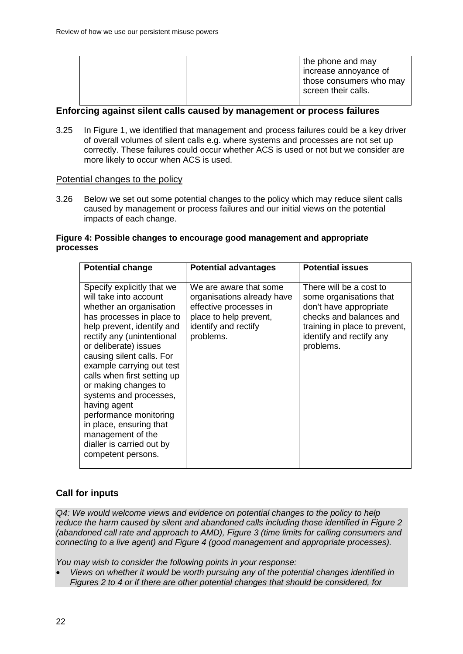#### **Enforcing against silent calls caused by management or process failures**

3.25 In Figure 1, we identified that management and process failures could be a key driver of overall volumes of silent calls e.g. where systems and processes are not set up correctly. These failures could occur whether ACS is used or not but we consider are more likely to occur when ACS is used.

#### Potential changes to the policy

3.26 Below we set out some potential changes to the policy which may reduce silent calls caused by management or process failures and our initial views on the potential impacts of each change.

#### **Figure 4: Possible changes to encourage good management and appropriate processes**

| <b>Potential change</b>                                                                                                                                                                                                                                                                                                                                                                                                                                                                   | <b>Potential advantages</b>                                                                                                                   | <b>Potential issues</b>                                                                                                                                                           |
|-------------------------------------------------------------------------------------------------------------------------------------------------------------------------------------------------------------------------------------------------------------------------------------------------------------------------------------------------------------------------------------------------------------------------------------------------------------------------------------------|-----------------------------------------------------------------------------------------------------------------------------------------------|-----------------------------------------------------------------------------------------------------------------------------------------------------------------------------------|
| Specify explicitly that we<br>will take into account<br>whether an organisation<br>has processes in place to<br>help prevent, identify and<br>rectify any (unintentional<br>or deliberate) issues<br>causing silent calls. For<br>example carrying out test<br>calls when first setting up<br>or making changes to<br>systems and processes,<br>having agent<br>performance monitoring<br>in place, ensuring that<br>management of the<br>dialler is carried out by<br>competent persons. | We are aware that some<br>organisations already have<br>effective processes in<br>place to help prevent,<br>identify and rectify<br>problems. | There will be a cost to<br>some organisations that<br>don't have appropriate<br>checks and balances and<br>training in place to prevent,<br>identify and rectify any<br>problems. |

#### **Call for inputs**

*Q4: We would welcome views and evidence on potential changes to the policy to help reduce the harm caused by silent and abandoned calls including those identified in Figure 2 (abandoned call rate and approach to AMD), Figure 3 (time limits for calling consumers and connecting to a live agent) and Figure 4 (good management and appropriate processes).* 

*You may wish to consider the following points in your response:*

• *Views on whether it would be worth pursuing any of the potential changes identified in Figures 2 to 4 or if there are other potential changes that should be considered, for*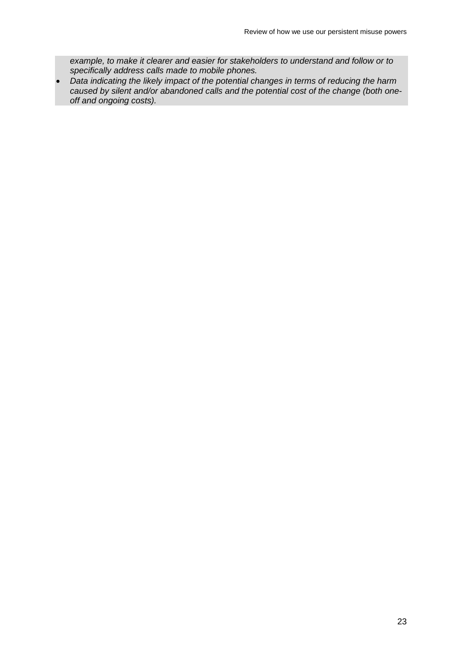*example, to make it clearer and easier for stakeholders to understand and follow or to specifically address calls made to mobile phones.*

• *Data indicating the likely impact of the potential changes in terms of reducing the harm caused by silent and/or abandoned calls and the potential cost of the change (both oneoff and ongoing costs).*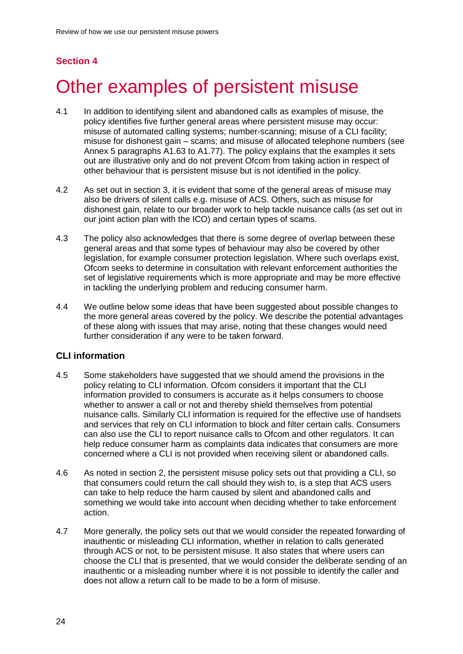# **Section 4**

# <span id="page-26-0"></span>Other examples of persistent misuse

- 4.1 In addition to identifying silent and abandoned calls as examples of misuse, the policy identifies five further general areas where persistent misuse may occur: misuse of automated calling systems; number-scanning; misuse of a CLI facility; misuse for dishonest gain – scams; and misuse of allocated telephone numbers (see Annex 5 paragraphs A1.63 to A1.77). The policy explains that the examples it sets out are illustrative only and do not prevent Ofcom from taking action in respect of other behaviour that is persistent misuse but is not identified in the policy.
- 4.2 As set out in section 3, it is evident that some of the general areas of misuse may also be drivers of silent calls e.g. misuse of ACS. Others, such as misuse for dishonest gain, relate to our broader work to help tackle nuisance calls (as set out in our joint action plan with the ICO) and certain types of scams.
- 4.3 The policy also acknowledges that there is some degree of overlap between these general areas and that some types of behaviour may also be covered by other legislation, for example consumer protection legislation. Where such overlaps exist, Ofcom seeks to determine in consultation with relevant enforcement authorities the set of legislative requirements which is more appropriate and may be more effective in tackling the underlying problem and reducing consumer harm.
- 4.4 We outline below some ideas that have been suggested about possible changes to the more general areas covered by the policy. We describe the potential advantages of these along with issues that may arise, noting that these changes would need further consideration if any were to be taken forward.

### **CLI information**

- 4.5 Some stakeholders have suggested that we should amend the provisions in the policy relating to CLI information. Ofcom considers it important that the CLI information provided to consumers is accurate as it helps consumers to choose whether to answer a call or not and thereby shield themselves from potential nuisance calls. Similarly CLI information is required for the effective use of handsets and services that rely on CLI information to block and filter certain calls. Consumers can also use the CLI to report nuisance calls to Ofcom and other regulators. It can help reduce consumer harm as complaints data indicates that consumers are more concerned where a CLI is not provided when receiving silent or abandoned calls.
- 4.6 As noted in section 2, the persistent misuse policy sets out that providing a CLI, so that consumers could return the call should they wish to, is a step that ACS users can take to help reduce the harm caused by silent and abandoned calls and something we would take into account when deciding whether to take enforcement action.
- 4.7 More generally, the policy sets out that we would consider the repeated forwarding of inauthentic or misleading CLI information, whether in relation to calls generated through ACS or not, to be persistent misuse. It also states that where users can choose the CLI that is presented, that we would consider the deliberate sending of an inauthentic or a misleading number where it is not possible to identify the caller and does not allow a return call to be made to be a form of misuse.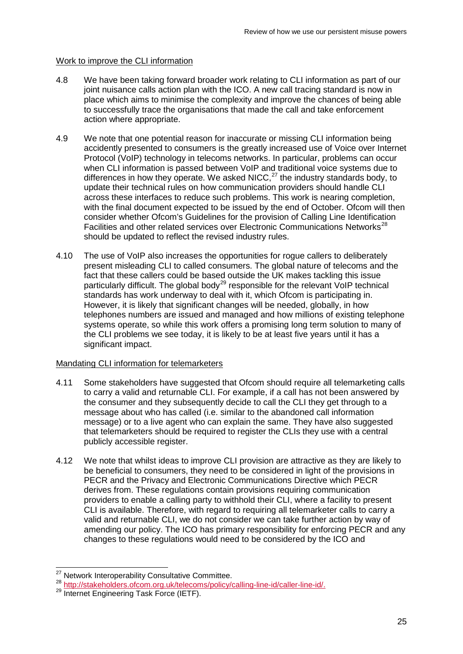#### Work to improve the CLI information

- 4.8 We have been taking forward broader work relating to CLI information as part of our joint nuisance calls action plan with the ICO. A new call tracing standard is now in place which aims to minimise the complexity and improve the chances of being able to successfully trace the organisations that made the call and take enforcement action where appropriate.
- 4.9 We note that one potential reason for inaccurate or missing CLI information being accidently presented to consumers is the greatly increased use of Voice over Internet Protocol (VoIP) technology in telecoms networks. In particular, problems can occur when CLI information is passed between VoIP and traditional voice systems due to differences in how they operate. We asked NICC, $^{27}$  $^{27}$  $^{27}$  the industry standards body, to update their technical rules on how communication providers should handle CLI across these interfaces to reduce such problems. This work is nearing completion, with the final document expected to be issued by the end of October. Ofcom will then consider whether Ofcom's Guidelines for the provision of Calling Line Identification Facilities and other related services over Electronic Communications Networks<sup>[28](#page-27-1)</sup> should be updated to reflect the revised industry rules.
- 4.10 The use of VoIP also increases the opportunities for rogue callers to deliberately present misleading CLI to called consumers. The global nature of telecoms and the fact that these callers could be based outside the UK makes tackling this issue particularly difficult. The global body<sup>[29](#page-27-2)</sup> responsible for the relevant  $\overline{V}$ oIP technical standards has work underway to deal with it, which Ofcom is participating in. However, it is likely that significant changes will be needed, globally, in how telephones numbers are issued and managed and how millions of existing telephone systems operate, so while this work offers a promising long term solution to many of the CLI problems we see today, it is likely to be at least five years until it has a significant impact.

#### Mandating CLI information for telemarketers

- 4.11 Some stakeholders have suggested that Ofcom should require all telemarketing calls to carry a valid and returnable CLI. For example, if a call has not been answered by the consumer and they subsequently decide to call the CLI they get through to a message about who has called (i.e. similar to the abandoned call information message) or to a live agent who can explain the same. They have also suggested that telemarketers should be required to register the CLIs they use with a central publicly accessible register.
- 4.12 We note that whilst ideas to improve CLI provision are attractive as they are likely to be beneficial to consumers, they need to be considered in light of the provisions in PECR and the Privacy and Electronic Communications Directive which PECR derives from. These regulations contain provisions requiring communication providers to enable a calling party to withhold their CLI, where a facility to present CLI is available. Therefore, with regard to requiring all telemarketer calls to carry a valid and returnable CLI, we do not consider we can take further action by way of amending our policy. The ICO has primary responsibility for enforcing PECR and any changes to these regulations would need to be considered by the ICO and

<sup>&</sup>lt;sup>27</sup> Network Interoperability Consultative Committee.

<span id="page-27-1"></span><span id="page-27-0"></span><sup>28</sup> [http://stakeholders.ofcom.org.uk/telecoms/policy/calling-line-id/caller-line-id/.](http://stakeholders.ofcom.org.uk/telecoms/policy/calling-line-id/caller-line-id/)<br>29 Internet Engineering Task Force (IETF).

<span id="page-27-2"></span>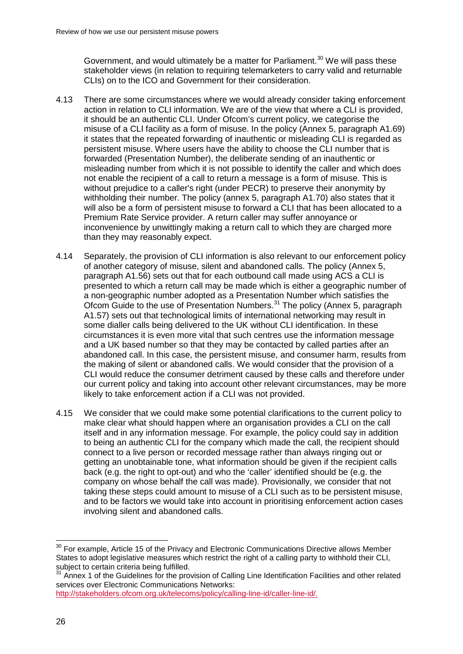Government, and would ultimately be a matter for Parliament.<sup>[30](#page-28-0)</sup> We will pass these stakeholder views (in relation to requiring telemarketers to carry valid and returnable CLIs) on to the ICO and Government for their consideration.

- 4.13 There are some circumstances where we would already consider taking enforcement action in relation to CLI information. We are of the view that where a CLI is provided, it should be an authentic CLI. Under Ofcom's current policy, we categorise the misuse of a CLI facility as a form of misuse. In the policy (Annex 5, paragraph A1.69) it states that the repeated forwarding of inauthentic or misleading CLI is regarded as persistent misuse. Where users have the ability to choose the CLI number that is forwarded (Presentation Number), the deliberate sending of an inauthentic or misleading number from which it is not possible to identify the caller and which does not enable the recipient of a call to return a message is a form of misuse. This is without prejudice to a caller's right (under PECR) to preserve their anonymity by withholding their number. The policy (annex 5, paragraph A1.70) also states that it will also be a form of persistent misuse to forward a CLI that has been allocated to a Premium Rate Service provider. A return caller may suffer annoyance or inconvenience by unwittingly making a return call to which they are charged more than they may reasonably expect.
- 4.14 Separately, the provision of CLI information is also relevant to our enforcement policy of another category of misuse, silent and abandoned calls. The policy (Annex 5, paragraph A1.56) sets out that for each outbound call made using ACS a CLI is presented to which a return call may be made which is either a geographic number of a non-geographic number adopted as a Presentation Number which satisfies the Ofcom Guide to the use of Presentation Numbers.[31](#page-28-1) The policy (Annex 5, paragraph A1.57) sets out that technological limits of international networking may result in some dialler calls being delivered to the UK without CLI identification. In these circumstances it is even more vital that such centres use the information message and a UK based number so that they may be contacted by called parties after an abandoned call. In this case, the persistent misuse, and consumer harm, results from the making of silent or abandoned calls. We would consider that the provision of a CLI would reduce the consumer detriment caused by these calls and therefore under our current policy and taking into account other relevant circumstances, may be more likely to take enforcement action if a CLI was not provided.
- 4.15 We consider that we could make some potential clarifications to the current policy to make clear what should happen where an organisation provides a CLI on the call itself and in any information message. For example, the policy could say in addition to being an authentic CLI for the company which made the call, the recipient should connect to a live person or recorded message rather than always ringing out or getting an unobtainable tone, what information should be given if the recipient calls back (e.g. the right to opt-out) and who the 'caller' identified should be (e.g. the company on whose behalf the call was made). Provisionally, we consider that not taking these steps could amount to misuse of a CLI such as to be persistent misuse, and to be factors we would take into account in prioritising enforcement action cases involving silent and abandoned calls.

<span id="page-28-0"></span> $30$  For example, Article 15 of the Privacy and Electronic Communications Directive allows Member States to adopt legislative measures which restrict the right of a calling party to withhold their CLI, subject to certain criteria being fulfilled.  $\overline{a}$ 

<span id="page-28-1"></span>Annex 1 of the Guidelines for the provision of Calling Line Identification Facilities and other related services over Electronic Communications Networks:

[http://stakeholders.ofcom.org.uk/telecoms/policy/calling-line-id/caller-line-id/.](http://stakeholders.ofcom.org.uk/telecoms/policy/calling-line-id/caller-line-id/)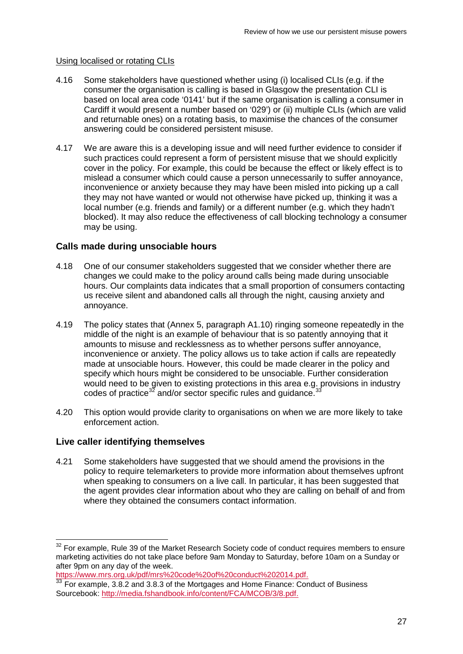#### Using localised or rotating CLIs

- 4.16 Some stakeholders have questioned whether using (i) localised CLIs (e.g. if the consumer the organisation is calling is based in Glasgow the presentation CLI is based on local area code '0141' but if the same organisation is calling a consumer in Cardiff it would present a number based on '029') or (ii) multiple CLIs (which are valid and returnable ones) on a rotating basis, to maximise the chances of the consumer answering could be considered persistent misuse.
- 4.17 We are aware this is a developing issue and will need further evidence to consider if such practices could represent a form of persistent misuse that we should explicitly cover in the policy. For example, this could be because the effect or likely effect is to mislead a consumer which could cause a person unnecessarily to suffer annoyance, inconvenience or anxiety because they may have been misled into picking up a call they may not have wanted or would not otherwise have picked up, thinking it was a local number (e.g. friends and family) or a different number (e.g. which they hadn't blocked). It may also reduce the effectiveness of call blocking technology a consumer may be using.

#### **Calls made during unsociable hours**

- 4.18 One of our consumer stakeholders suggested that we consider whether there are changes we could make to the policy around calls being made during unsociable hours. Our complaints data indicates that a small proportion of consumers contacting us receive silent and abandoned calls all through the night, causing anxiety and annoyance.
- 4.19 The policy states that (Annex 5, paragraph A1.10) ringing someone repeatedly in the middle of the night is an example of behaviour that is so patently annoying that it amounts to misuse and recklessness as to whether persons suffer annoyance, inconvenience or anxiety. The policy allows us to take action if calls are repeatedly made at unsociable hours. However, this could be made clearer in the policy and specify which hours might be considered to be unsociable. Further consideration would need to be given to existing protections in this area e.g. provisions in industry codes of practice<sup>[32](#page-29-0)</sup> and/or sector specific rules and guidance.  $33$
- 4.20 This option would provide clarity to organisations on when we are more likely to take enforcement action.

#### **Live caller identifying themselves**

 $\overline{a}$ 

4.21 Some stakeholders have suggested that we should amend the provisions in the policy to require telemarketers to provide more information about themselves upfront when speaking to consumers on a live call. In particular, it has been suggested that the agent provides clear information about who they are calling on behalf of and from where they obtained the consumers contact information.

<span id="page-29-0"></span> $32$  For example, Rule 39 of the Market Research Society code of conduct requires members to ensure marketing activities do not take place before 9am Monday to Saturday, before 10am on a Sunday or after 9pm on any day of the week.<br>https://www.mrs.org.uk/pdf/mrs%20code%20of%20conduct%202014.pdf.

<span id="page-29-1"></span> $\frac{33}{33}$  For example, 3.8.2 and 3.8.3 of the Mortgages and Home Finance: Conduct of Business Sourcebook: [http://media.fshandbook.info/content/FCA/MCOB/3/8.pdf.](http://media.fshandbook.info/content/FCA/MCOB/3/8.pdf)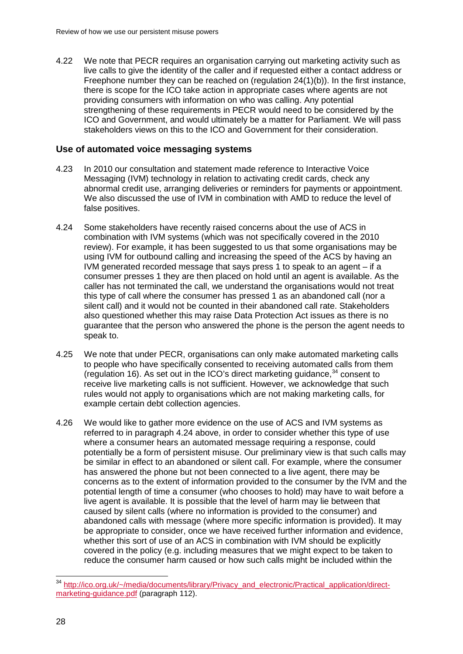4.22 We note that PECR requires an organisation carrying out marketing activity such as live calls to give the identity of the caller and if requested either a contact address or Freephone number they can be reached on (regulation 24(1)(b)). In the first instance, there is scope for the ICO take action in appropriate cases where agents are not providing consumers with information on who was calling. Any potential strengthening of these requirements in PECR would need to be considered by the ICO and Government, and would ultimately be a matter for Parliament. We will pass stakeholders views on this to the ICO and Government for their consideration.

#### **Use of automated voice messaging systems**

- 4.23 In 2010 our consultation and statement made reference to Interactive Voice Messaging (IVM) technology in relation to activating credit cards, check any abnormal credit use, arranging deliveries or reminders for payments or appointment. We also discussed the use of IVM in combination with AMD to reduce the level of false positives.
- 4.24 Some stakeholders have recently raised concerns about the use of ACS in combination with IVM systems (which was not specifically covered in the 2010 review). For example, it has been suggested to us that some organisations may be using IVM for outbound calling and increasing the speed of the ACS by having an IVM generated recorded message that says press 1 to speak to an agent – if a consumer presses 1 they are then placed on hold until an agent is available. As the caller has not terminated the call, we understand the organisations would not treat this type of call where the consumer has pressed 1 as an abandoned call (nor a silent call) and it would not be counted in their abandoned call rate. Stakeholders also questioned whether this may raise Data Protection Act issues as there is no guarantee that the person who answered the phone is the person the agent needs to speak to.
- 4.25 We note that under PECR, organisations can only make automated marketing calls to people who have specifically consented to receiving automated calls from them (regulation 16). As set out in the ICO's direct marketing guidance,  $34$  consent to receive live marketing calls is not sufficient. However, we acknowledge that such rules would not apply to organisations which are not making marketing calls, for example certain debt collection agencies.
- 4.26 We would like to gather more evidence on the use of ACS and IVM systems as referred to in paragraph 4.24 above, in order to consider whether this type of use where a consumer hears an automated message requiring a response, could potentially be a form of persistent misuse. Our preliminary view is that such calls may be similar in effect to an abandoned or silent call. For example, where the consumer has answered the phone but not been connected to a live agent, there may be concerns as to the extent of information provided to the consumer by the IVM and the potential length of time a consumer (who chooses to hold) may have to wait before a live agent is available. It is possible that the level of harm may lie between that caused by silent calls (where no information is provided to the consumer) and abandoned calls with message (where more specific information is provided). It may be appropriate to consider, once we have received further information and evidence, whether this sort of use of an ACS in combination with IVM should be explicitly covered in the policy (e.g. including measures that we might expect to be taken to reduce the consumer harm caused or how such calls might be included within the

<span id="page-30-0"></span><sup>&</sup>lt;sup>34</sup> [http://ico.org.uk/~/media/documents/library/Privacy\\_and\\_electronic/Practical\\_application/direct](http://ico.org.uk/%7E/media/documents/library/Privacy_and_electronic/Practical_application/direct-marketing-guidance.pdf)[marketing-guidance.pdf](http://ico.org.uk/%7E/media/documents/library/Privacy_and_electronic/Practical_application/direct-marketing-guidance.pdf) (paragraph 112).  $\overline{a}$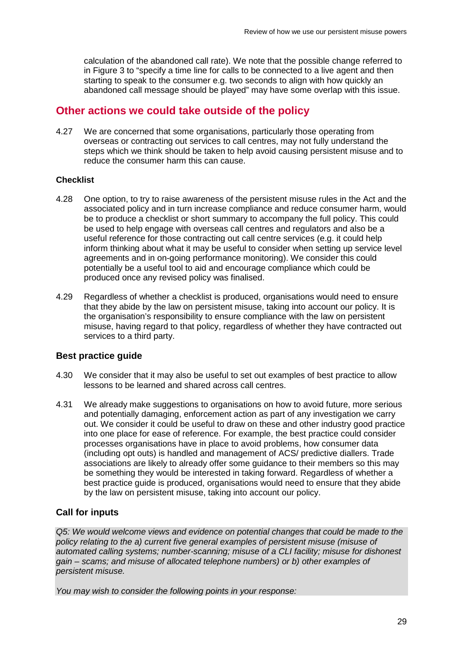calculation of the abandoned call rate). We note that the possible change referred to in Figure 3 to "specify a time line for calls to be connected to a live agent and then starting to speak to the consumer e.g. two seconds to align with how quickly an abandoned call message should be played" may have some overlap with this issue.

## **Other actions we could take outside of the policy**

4.27 We are concerned that some organisations, particularly those operating from overseas or contracting out services to call centres, may not fully understand the steps which we think should be taken to help avoid causing persistent misuse and to reduce the consumer harm this can cause.

#### **Checklist**

- 4.28 One option, to try to raise awareness of the persistent misuse rules in the Act and the associated policy and in turn increase compliance and reduce consumer harm, would be to produce a checklist or short summary to accompany the full policy. This could be used to help engage with overseas call centres and regulators and also be a useful reference for those contracting out call centre services (e.g. it could help inform thinking about what it may be useful to consider when setting up service level agreements and in on-going performance monitoring). We consider this could potentially be a useful tool to aid and encourage compliance which could be produced once any revised policy was finalised.
- 4.29 Regardless of whether a checklist is produced, organisations would need to ensure that they abide by the law on persistent misuse, taking into account our policy. It is the organisation's responsibility to ensure compliance with the law on persistent misuse, having regard to that policy, regardless of whether they have contracted out services to a third party.

#### **Best practice guide**

- 4.30 We consider that it may also be useful to set out examples of best practice to allow lessons to be learned and shared across call centres.
- 4.31 We already make suggestions to organisations on how to avoid future, more serious and potentially damaging, enforcement action as part of any investigation we carry out. We consider it could be useful to draw on these and other industry good practice into one place for ease of reference. For example, the best practice could consider processes organisations have in place to avoid problems, how consumer data (including opt outs) is handled and management of ACS/ predictive diallers. Trade associations are likely to already offer some guidance to their members so this may be something they would be interested in taking forward. Regardless of whether a best practice guide is produced, organisations would need to ensure that they abide by the law on persistent misuse, taking into account our policy.

#### **Call for inputs**

*Q5: We would welcome views and evidence on potential changes that could be made to the policy relating to the a) current five general examples of persistent misuse (misuse of automated calling systems; number-scanning; misuse of a CLI facility; misuse for dishonest gain – scams; and misuse of allocated telephone numbers) or b) other examples of persistent misuse.* 

*You may wish to consider the following points in your response:*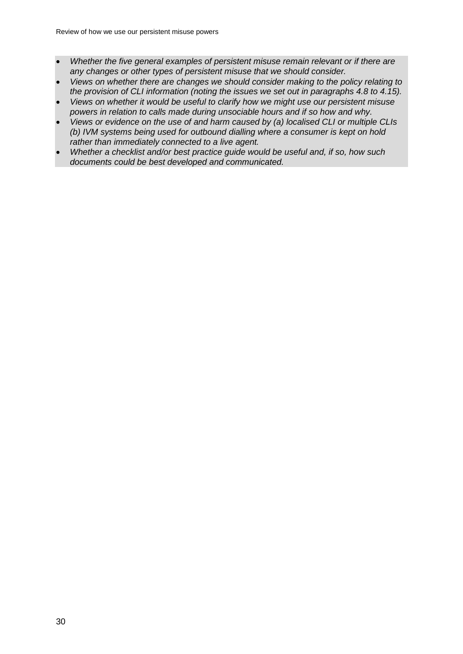- *Whether the five general examples of persistent misuse remain relevant or if there are any changes or other types of persistent misuse that we should consider.*
- *Views on whether there are changes we should consider making to the policy relating to the provision of CLI information (noting the issues we set out in paragraphs 4.8 to 4.15).*
- *Views on whether it would be useful to clarify how we might use our persistent misuse powers in relation to calls made during unsociable hours and if so how and why.*
- *Views or evidence on the use of and harm caused by (a) localised CLI or multiple CLIs (b) IVM systems being used for outbound dialling where a consumer is kept on hold rather than immediately connected to a live agent.*
- *Whether a checklist and/or best practice guide would be useful and, if so, how such documents could be best developed and communicated.*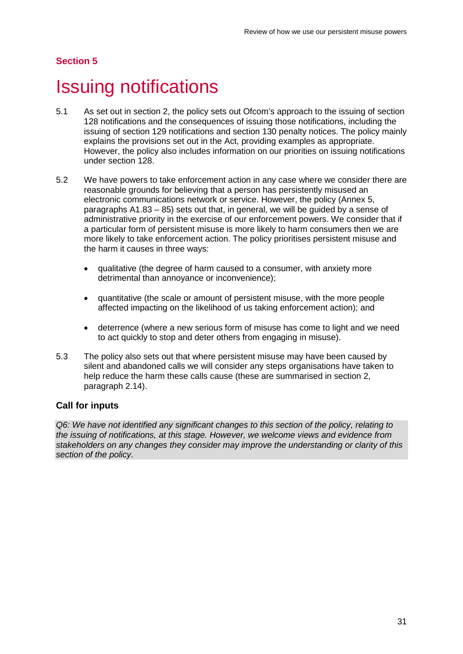## **Section 5**

# <span id="page-33-0"></span>5 Issuing notifications

- 5.1 As set out in section 2, the policy sets out Ofcom's approach to the issuing of section 128 notifications and the consequences of issuing those notifications, including the issuing of section 129 notifications and section 130 penalty notices. The policy mainly explains the provisions set out in the Act, providing examples as appropriate. However, the policy also includes information on our priorities on issuing notifications under section 128.
- 5.2 We have powers to take enforcement action in any case where we consider there are reasonable grounds for believing that a person has persistently misused an electronic communications network or service. However, the policy (Annex 5, paragraphs A1.83 – 85) sets out that, in general, we will be guided by a sense of administrative priority in the exercise of our enforcement powers. We consider that if a particular form of persistent misuse is more likely to harm consumers then we are more likely to take enforcement action. The policy prioritises persistent misuse and the harm it causes in three ways:
	- qualitative (the degree of harm caused to a consumer, with anxiety more detrimental than annoyance or inconvenience);
	- quantitative (the scale or amount of persistent misuse, with the more people affected impacting on the likelihood of us taking enforcement action); and
	- deterrence (where a new serious form of misuse has come to light and we need to act quickly to stop and deter others from engaging in misuse).
- 5.3 The policy also sets out that where persistent misuse may have been caused by silent and abandoned calls we will consider any steps organisations have taken to help reduce the harm these calls cause (these are summarised in section 2, paragraph 2.14).

#### **Call for inputs**

*Q6: We have not identified any significant changes to this section of the policy, relating to the issuing of notifications, at this stage. However, we welcome views and evidence from stakeholders on any changes they consider may improve the understanding or clarity of this section of the policy.*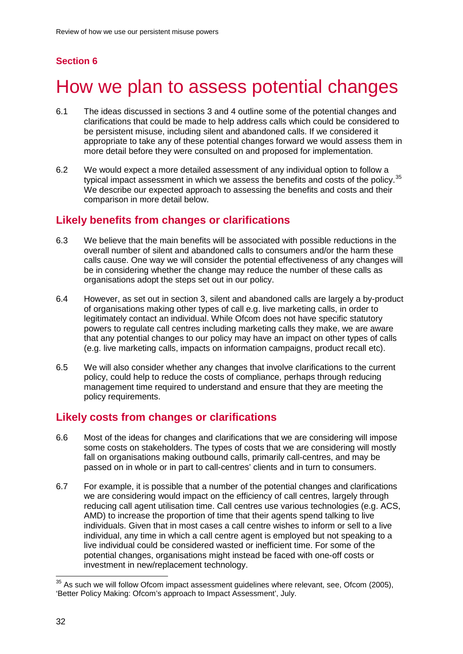## **Section 6**

# <span id="page-34-0"></span>How we plan to assess potential changes

- 6.1 The ideas discussed in sections 3 and 4 outline some of the potential changes and clarifications that could be made to help address calls which could be considered to be persistent misuse, including silent and abandoned calls. If we considered it appropriate to take any of these potential changes forward we would assess them in more detail before they were consulted on and proposed for implementation.
- 6.2 We would expect a more detailed assessment of any individual option to follow a typical impact assessment in which we assess the benefits and costs of the policy.<sup>[35](#page-34-1)</sup> We describe our expected approach to assessing the benefits and costs and their comparison in more detail below.

## **Likely benefits from changes or clarifications**

- 6.3 We believe that the main benefits will be associated with possible reductions in the overall number of silent and abandoned calls to consumers and/or the harm these calls cause. One way we will consider the potential effectiveness of any changes will be in considering whether the change may reduce the number of these calls as organisations adopt the steps set out in our policy.
- 6.4 However, as set out in section 3, silent and abandoned calls are largely a by-product of organisations making other types of call e.g. live marketing calls, in order to legitimately contact an individual. While Ofcom does not have specific statutory powers to regulate call centres including marketing calls they make, we are aware that any potential changes to our policy may have an impact on other types of calls (e.g. live marketing calls, impacts on information campaigns, product recall etc).
- 6.5 We will also consider whether any changes that involve clarifications to the current policy, could help to reduce the costs of compliance, perhaps through reducing management time required to understand and ensure that they are meeting the policy requirements.

# **Likely costs from changes or clarifications**

- 6.6 Most of the ideas for changes and clarifications that we are considering will impose some costs on stakeholders. The types of costs that we are considering will mostly fall on organisations making outbound calls, primarily call-centres, and may be passed on in whole or in part to call-centres' clients and in turn to consumers.
- 6.7 For example, it is possible that a number of the potential changes and clarifications we are considering would impact on the efficiency of call centres, largely through reducing call agent utilisation time. Call centres use various technologies (e.g. ACS, AMD) to increase the proportion of time that their agents spend talking to live individuals. Given that in most cases a call centre wishes to inform or sell to a live individual, any time in which a call centre agent is employed but not speaking to a live individual could be considered wasted or inefficient time. For some of the potential changes, organisations might instead be faced with one-off costs or investment in new/replacement technology.

<span id="page-34-1"></span> $35$  As such we will follow Ofcom impact assessment guidelines where relevant, see, Ofcom (2005), 'Better Policy Making: Ofcom's approach to Impact Assessment', July.  $\overline{a}$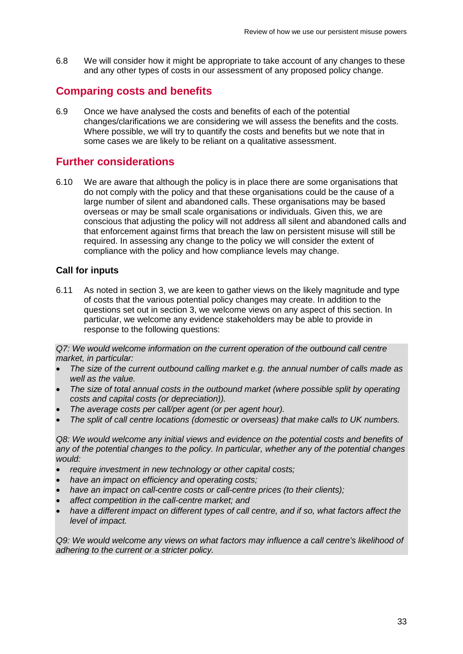6.8 We will consider how it might be appropriate to take account of any changes to these and any other types of costs in our assessment of any proposed policy change.

## **Comparing costs and benefits**

6.9 Once we have analysed the costs and benefits of each of the potential changes/clarifications we are considering we will assess the benefits and the costs. Where possible, we will try to quantify the costs and benefits but we note that in some cases we are likely to be reliant on a qualitative assessment.

## **Further considerations**

6.10 We are aware that although the policy is in place there are some organisations that do not comply with the policy and that these organisations could be the cause of a large number of silent and abandoned calls. These organisations may be based overseas or may be small scale organisations or individuals. Given this, we are conscious that adjusting the policy will not address all silent and abandoned calls and that enforcement against firms that breach the law on persistent misuse will still be required. In assessing any change to the policy we will consider the extent of compliance with the policy and how compliance levels may change.

#### **Call for inputs**

6.11 As noted in section 3, we are keen to gather views on the likely magnitude and type of costs that the various potential policy changes may create. In addition to the questions set out in section 3, we welcome views on any aspect of this section. In particular, we welcome any evidence stakeholders may be able to provide in response to the following questions:

*Q7: We would welcome information on the current operation of the outbound call centre market, in particular:* 

- *The size of the current outbound calling market e.g. the annual number of calls made as well as the value.*
- *The size of total annual costs in the outbound market (where possible split by operating costs and capital costs (or depreciation)).*
- *The average costs per call/per agent (or per agent hour).*
- *The split of call centre locations (domestic or overseas) that make calls to UK numbers.*

Q8: We would welcome any initial views and evidence on the potential costs and benefits of *any of the potential changes to the policy. In particular, whether any of the potential changes would:* 

- *require investment in new technology or other capital costs;*
- *have an impact on efficiency and operating costs;*
- *have an impact on call-centre costs or call-centre prices (to their clients);*
- *affect competition in the call-centre market; and*
- *have a different impact on different types of call centre, and if so, what factors affect the level of impact.*

*Q9: We would welcome any views on what factors may influence a call centre's likelihood of adhering to the current or a stricter policy.*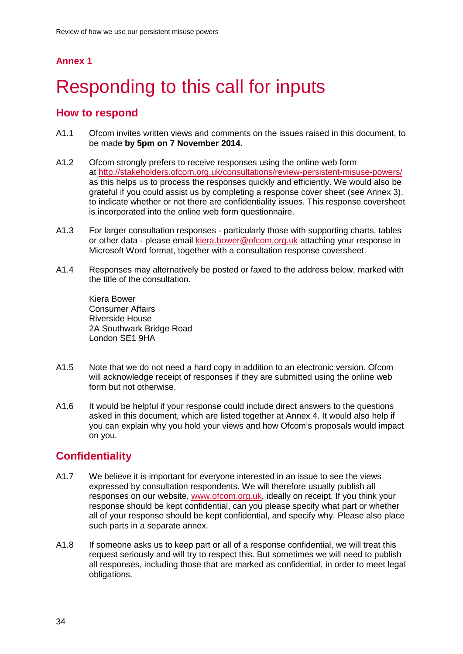## **Annex 1**

# <span id="page-36-0"></span>Responding to this call for inputs

## **How to respond**

- A1.1 Ofcom invites written views and comments on the issues raised in this document, to be made **by 5pm on 7 November 2014**.
- A1.2 Ofcom strongly prefers to receive responses using the online web form at<http://stakeholders.ofcom.org.uk/consultations/review-persistent-misuse-powers/> as this helps us to process the responses quickly and efficiently. We would also be grateful if you could assist us by completing a response cover sheet (see Annex 3), to indicate whether or not there are confidentiality issues. This response coversheet is incorporated into the online web form questionnaire.
- A1.3 For larger consultation responses particularly those with supporting charts, tables or other data - please email [kiera.bower@ofcom.org.uk](mailto:kiera.bower@ofcom.org.uk) attaching your response in Microsoft Word format, together with a consultation response coversheet.
- A1.4 Responses may alternatively be posted or faxed to the address below, marked with the title of the consultation.

Kiera Bower Consumer Affairs Riverside House 2A Southwark Bridge Road London SE1 9HA

- A1.5 Note that we do not need a hard copy in addition to an electronic version. Ofcom will acknowledge receipt of responses if they are submitted using the online web form but not otherwise.
- A1.6 It would be helpful if your response could include direct answers to the questions asked in this document, which are listed together at Annex 4. It would also help if you can explain why you hold your views and how Ofcom's proposals would impact on you.

# **Confidentiality**

- A1.7 We believe it is important for everyone interested in an issue to see the views expressed by consultation respondents. We will therefore usually publish all responses on our website, [www.ofcom.org.uk,](http://www.ofcom.org.uk/) ideally on receipt. If you think your response should be kept confidential, can you please specify what part or whether all of your response should be kept confidential, and specify why. Please also place such parts in a separate annex.
- A1.8 If someone asks us to keep part or all of a response confidential, we will treat this request seriously and will try to respect this. But sometimes we will need to publish all responses, including those that are marked as confidential, in order to meet legal obligations.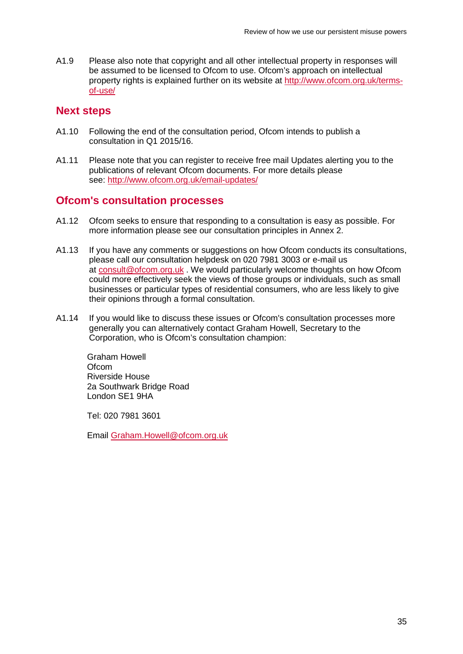A1.9 Please also note that copyright and all other intellectual property in responses will be assumed to be licensed to Ofcom to use. Ofcom's approach on intellectual property rights is explained further on its website at [http://www.ofcom.org.uk/terms](http://www.ofcom.org.uk/terms-of-use/)[of-use/](http://www.ofcom.org.uk/terms-of-use/)

## **Next steps**

- A1.10 Following the end of the consultation period, Ofcom intends to publish a consultation in Q1 2015/16.
- A1.11 Please note that you can register to receive free mail Updates alerting you to the publications of relevant Ofcom documents. For more details please see:<http://www.ofcom.org.uk/email-updates/>

## **Ofcom's consultation processes**

- A1.12 Ofcom seeks to ensure that responding to a consultation is easy as possible. For more information please see our consultation principles in Annex 2.
- A1.13 If you have any comments or suggestions on how Ofcom conducts its consultations, please call our consultation helpdesk on 020 7981 3003 or e-mail us at [consult@ofcom.org.uk](mailto:consult@ofcom.org.uk) . We would particularly welcome thoughts on how Ofcom could more effectively seek the views of those groups or individuals, such as small businesses or particular types of residential consumers, who are less likely to give their opinions through a formal consultation.
- A1.14 If you would like to discuss these issues or Ofcom's consultation processes more generally you can alternatively contact Graham Howell, Secretary to the Corporation, who is Ofcom's consultation champion:

Graham Howell **Ofcom** Riverside House 2a Southwark Bridge Road London SE1 9HA

Tel: 020 7981 3601

Email [Graham.Howell@ofcom.org.uk](mailto:Graham.Howell@ofcom.org.uk)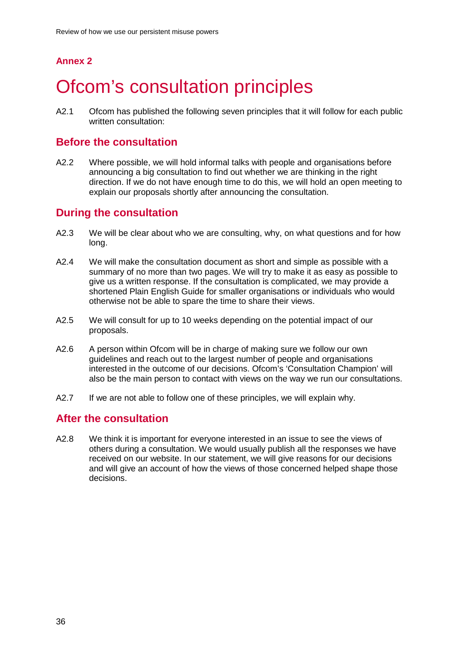# **Annex 2**

# <span id="page-38-0"></span>**Ofcom's consultation principles**

A2.1 Ofcom has published the following seven principles that it will follow for each public written consultation:

## **Before the consultation**

A2.2 Where possible, we will hold informal talks with people and organisations before announcing a big consultation to find out whether we are thinking in the right direction. If we do not have enough time to do this, we will hold an open meeting to explain our proposals shortly after announcing the consultation.

## **During the consultation**

- A2.3 We will be clear about who we are consulting, why, on what questions and for how long.
- A2.4 We will make the consultation document as short and simple as possible with a summary of no more than two pages. We will try to make it as easy as possible to give us a written response. If the consultation is complicated, we may provide a shortened Plain English Guide for smaller organisations or individuals who would otherwise not be able to spare the time to share their views.
- A2.5 We will consult for up to 10 weeks depending on the potential impact of our proposals.
- A2.6 A person within Ofcom will be in charge of making sure we follow our own guidelines and reach out to the largest number of people and organisations interested in the outcome of our decisions. Ofcom's 'Consultation Champion' will also be the main person to contact with views on the way we run our consultations.
- A2.7 If we are not able to follow one of these principles, we will explain why.

## **After the consultation**

A2.8 We think it is important for everyone interested in an issue to see the views of others during a consultation. We would usually publish all the responses we have received on our website. In our statement, we will give reasons for our decisions and will give an account of how the views of those concerned helped shape those decisions.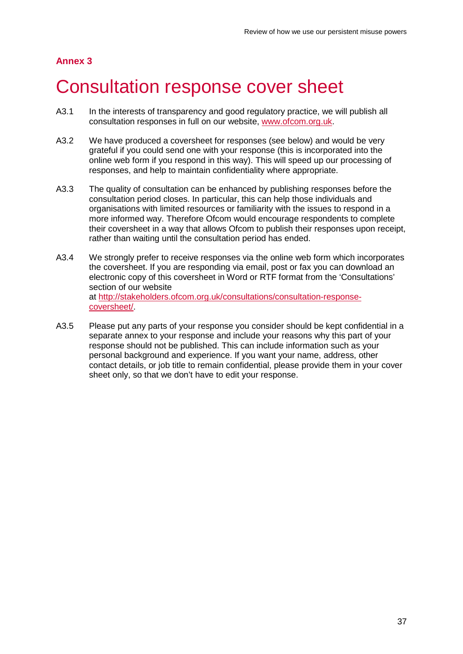## **Annex 3**

# <span id="page-39-0"></span>3 Consultation response cover sheet

- A3.1 In the interests of transparency and good regulatory practice, we will publish all consultation responses in full on our website, [www.ofcom.org.uk.](http://www.ofcom.org.uk/)
- A3.2 We have produced a coversheet for responses (see below) and would be very grateful if you could send one with your response (this is incorporated into the online web form if you respond in this way). This will speed up our processing of responses, and help to maintain confidentiality where appropriate.
- A3.3 The quality of consultation can be enhanced by publishing responses before the consultation period closes. In particular, this can help those individuals and organisations with limited resources or familiarity with the issues to respond in a more informed way. Therefore Ofcom would encourage respondents to complete their coversheet in a way that allows Ofcom to publish their responses upon receipt, rather than waiting until the consultation period has ended.
- A3.4 We strongly prefer to receive responses via the online web form which incorporates the coversheet. If you are responding via email, post or fax you can download an electronic copy of this coversheet in Word or RTF format from the 'Consultations' section of our website at [http://stakeholders.ofcom.org.uk/consultations/consultation-response](http://stakeholders.ofcom.org.uk/consultations/consultation-response-coversheet/)[coversheet/.](http://stakeholders.ofcom.org.uk/consultations/consultation-response-coversheet/)
- A3.5 Please put any parts of your response you consider should be kept confidential in a separate annex to your response and include your reasons why this part of your response should not be published. This can include information such as your personal background and experience. If you want your name, address, other contact details, or job title to remain confidential, please provide them in your cover sheet only, so that we don't have to edit your response.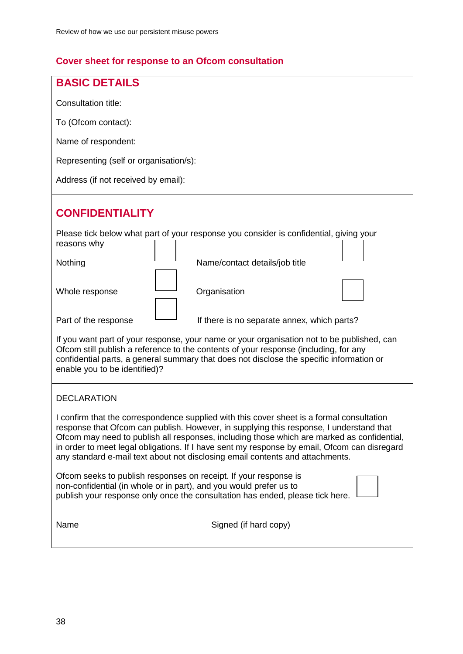# **Cover sheet for response to an Ofcom consultation**

| <b>BASIC DETAILS</b>                                                                                                                                                                                                                                                                                                                                                                                                                                                |  |  |
|---------------------------------------------------------------------------------------------------------------------------------------------------------------------------------------------------------------------------------------------------------------------------------------------------------------------------------------------------------------------------------------------------------------------------------------------------------------------|--|--|
| Consultation title:                                                                                                                                                                                                                                                                                                                                                                                                                                                 |  |  |
| To (Ofcom contact):                                                                                                                                                                                                                                                                                                                                                                                                                                                 |  |  |
| Name of respondent:                                                                                                                                                                                                                                                                                                                                                                                                                                                 |  |  |
| Representing (self or organisation/s):                                                                                                                                                                                                                                                                                                                                                                                                                              |  |  |
| Address (if not received by email):                                                                                                                                                                                                                                                                                                                                                                                                                                 |  |  |
|                                                                                                                                                                                                                                                                                                                                                                                                                                                                     |  |  |
| <b>CONFIDENTIALITY</b>                                                                                                                                                                                                                                                                                                                                                                                                                                              |  |  |
| Please tick below what part of your response you consider is confidential, giving your<br>reasons why                                                                                                                                                                                                                                                                                                                                                               |  |  |
| Nothing<br>Name/contact details/job title                                                                                                                                                                                                                                                                                                                                                                                                                           |  |  |
| Organisation<br>Whole response                                                                                                                                                                                                                                                                                                                                                                                                                                      |  |  |
| Part of the response<br>If there is no separate annex, which parts?                                                                                                                                                                                                                                                                                                                                                                                                 |  |  |
| If you want part of your response, your name or your organisation not to be published, can<br>Ofcom still publish a reference to the contents of your response (including, for any<br>confidential parts, a general summary that does not disclose the specific information or<br>enable you to be identified)?                                                                                                                                                     |  |  |
| <b>DECLARATION</b>                                                                                                                                                                                                                                                                                                                                                                                                                                                  |  |  |
| I confirm that the correspondence supplied with this cover sheet is a formal consultation<br>response that Ofcom can publish. However, in supplying this response, I understand that<br>Ofcom may need to publish all responses, including those which are marked as confidential,<br>in order to meet legal obligations. If I have sent my response by email, Ofcom can disregard<br>any standard e-mail text about not disclosing email contents and attachments. |  |  |
| Ofcom seeks to publish responses on receipt. If your response is<br>non-confidential (in whole or in part), and you would prefer us to<br>publish your response only once the consultation has ended, please tick here.                                                                                                                                                                                                                                             |  |  |
| Name<br>Signed (if hard copy)                                                                                                                                                                                                                                                                                                                                                                                                                                       |  |  |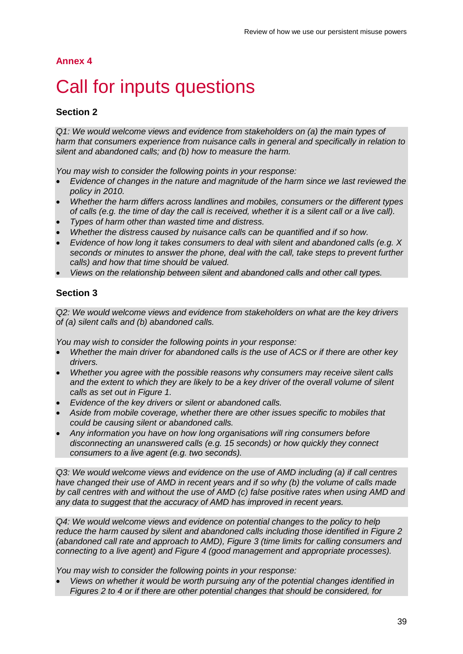### **Annex 4**

# <span id="page-41-0"></span>Call for inputs questions

### **Section 2**

*Q1: We would welcome views and evidence from stakeholders on (a) the main types of harm that consumers experience from nuisance calls in general and specifically in relation to silent and abandoned calls; and (b) how to measure the harm.* 

*You may wish to consider the following points in your response:*

- *Evidence of changes in the nature and magnitude of the harm since we last reviewed the policy in 2010.*
- *Whether the harm differs across landlines and mobiles, consumers or the different types of calls (e.g. the time of day the call is received, whether it is a silent call or a live call).*
- *Types of harm other than wasted time and distress.*
- *Whether the distress caused by nuisance calls can be quantified and if so how.*
- *Evidence of how long it takes consumers to deal with silent and abandoned calls (e.g. X seconds or minutes to answer the phone, deal with the call, take steps to prevent further calls) and how that time should be valued.*
- *Views on the relationship between silent and abandoned calls and other call types.*

### **Section 3**

*Q2: We would welcome views and evidence from stakeholders on what are the key drivers of (a) silent calls and (b) abandoned calls.* 

*You may wish to consider the following points in your response:*

- *Whether the main driver for abandoned calls is the use of ACS or if there are other key drivers.*
- *Whether you agree with the possible reasons why consumers may receive silent calls and the extent to which they are likely to be a key driver of the overall volume of silent calls as set out in Figure 1.*
- *Evidence of the key drivers or silent or abandoned calls.*
- *Aside from mobile coverage, whether there are other issues specific to mobiles that could be causing silent or abandoned calls.*
- *Any information you have on how long organisations will ring consumers before disconnecting an unanswered calls (e.g. 15 seconds) or how quickly they connect consumers to a live agent (e.g. two seconds).*

*Q3: We would welcome views and evidence on the use of AMD including (a) if call centres have changed their use of AMD in recent years and if so why (b) the volume of calls made by call centres with and without the use of AMD (c) false positive rates when using AMD and any data to suggest that the accuracy of AMD has improved in recent years.* 

*Q4: We would welcome views and evidence on potential changes to the policy to help reduce the harm caused by silent and abandoned calls including those identified in Figure 2 (abandoned call rate and approach to AMD), Figure 3 (time limits for calling consumers and connecting to a live agent) and Figure 4 (good management and appropriate processes).* 

*You may wish to consider the following points in your response:*

• *Views on whether it would be worth pursuing any of the potential changes identified in Figures 2 to 4 or if there are other potential changes that should be considered, for*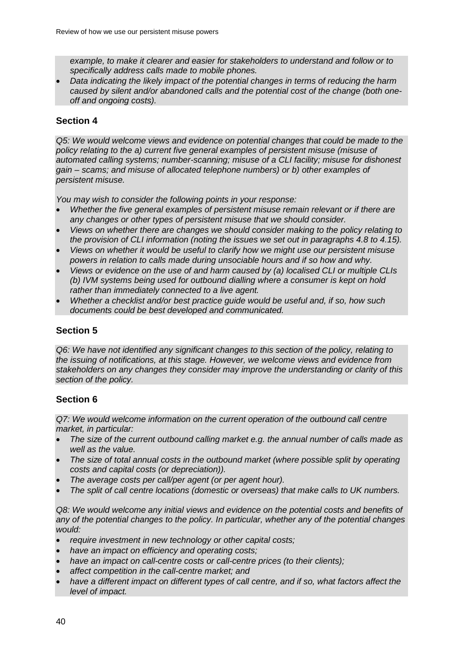*example, to make it clearer and easier for stakeholders to understand and follow or to specifically address calls made to mobile phones.*

• *Data indicating the likely impact of the potential changes in terms of reducing the harm caused by silent and/or abandoned calls and the potential cost of the change (both oneoff and ongoing costs).* 

### **Section 4**

*Q5: We would welcome views and evidence on potential changes that could be made to the policy relating to the a) current five general examples of persistent misuse (misuse of automated calling systems; number-scanning; misuse of a CLI facility; misuse for dishonest gain – scams; and misuse of allocated telephone numbers) or b) other examples of persistent misuse.* 

*You may wish to consider the following points in your response:*

- *Whether the five general examples of persistent misuse remain relevant or if there are any changes or other types of persistent misuse that we should consider.*
- *Views on whether there are changes we should consider making to the policy relating to the provision of CLI information (noting the issues we set out in paragraphs 4.8 to 4.15).*
- *Views on whether it would be useful to clarify how we might use our persistent misuse powers in relation to calls made during unsociable hours and if so how and why.*
- *Views or evidence on the use of and harm caused by (a) localised CLI or multiple CLIs (b) IVM systems being used for outbound dialling where a consumer is kept on hold rather than immediately connected to a live agent.*
- *Whether a checklist and/or best practice guide would be useful and, if so, how such documents could be best developed and communicated.*

### **Section 5**

*Q6: We have not identified any significant changes to this section of the policy, relating to the issuing of notifications, at this stage. However, we welcome views and evidence from stakeholders on any changes they consider may improve the understanding or clarity of this section of the policy.*

### **Section 6**

*Q7: We would welcome information on the current operation of the outbound call centre market, in particular:* 

- *The size of the current outbound calling market e.g. the annual number of calls made as well as the value.*
- *The size of total annual costs in the outbound market (where possible split by operating costs and capital costs (or depreciation)).*
- *The average costs per call/per agent (or per agent hour).*
- *The split of call centre locations (domestic or overseas) that make calls to UK numbers.*

Q8: We would welcome any initial views and evidence on the potential costs and benefits of *any of the potential changes to the policy. In particular, whether any of the potential changes would:* 

- *require investment in new technology or other capital costs;*
- *have an impact on efficiency and operating costs;*
- *have an impact on call-centre costs or call-centre prices (to their clients);*
- *affect competition in the call-centre market; and*
- *have a different impact on different types of call centre, and if so, what factors affect the level of impact.*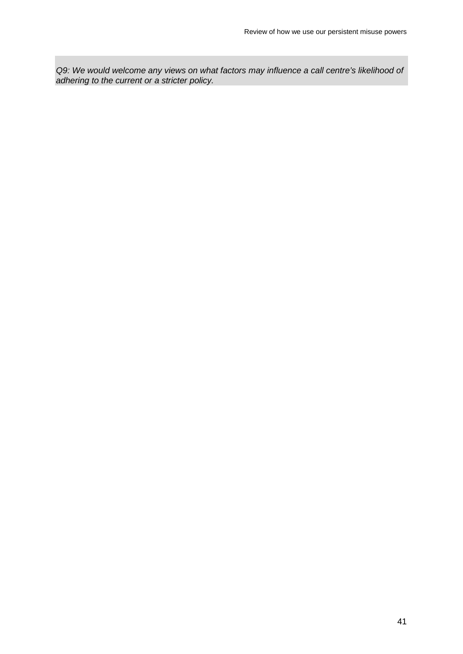*Q9: We would welcome any views on what factors may influence a call centre's likelihood of adhering to the current or a stricter policy.*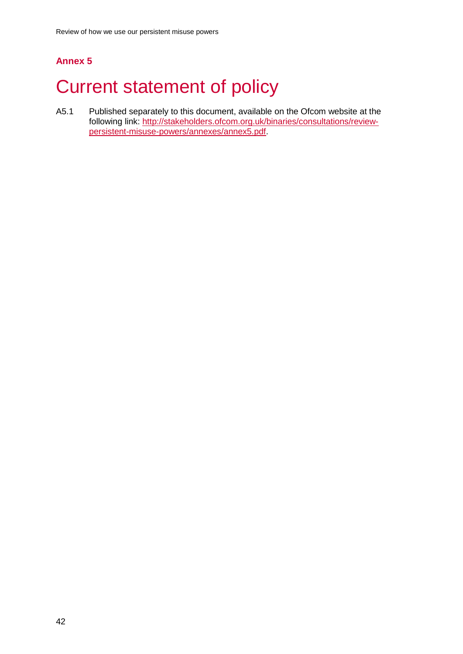# **Annex 5**

# <span id="page-44-0"></span>**Current statement of policy**

A5.1 Published separately to this document, available on the Ofcom website at the following link: [http://stakeholders.ofcom.org.uk/binaries/consultations/review](http://stakeholders.ofcom.org.uk/binaries/consultations/review-persistent-misuse-powers/annexes/annex5.pdf)[persistent-misuse-powers/annexes/annex5.pdf.](http://stakeholders.ofcom.org.uk/binaries/consultations/review-persistent-misuse-powers/annexes/annex5.pdf)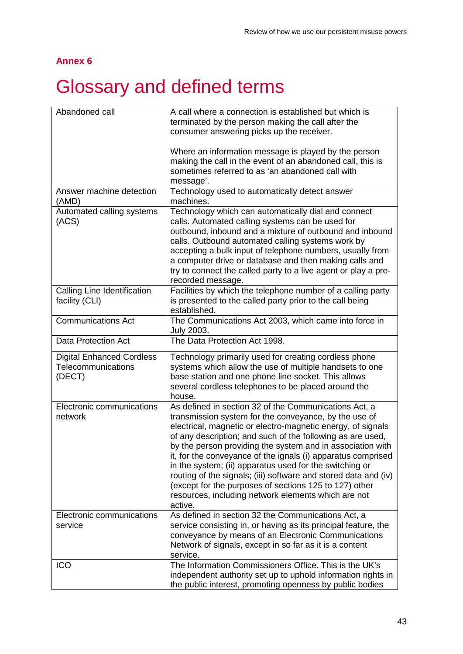## **Annex 6**

# <span id="page-45-0"></span>6 Glossary and defined terms

| Abandoned call                                                   | A call where a connection is established but which is<br>terminated by the person making the call after the<br>consumer answering picks up the receiver.<br>Where an information message is played by the person<br>making the call in the event of an abandoned call, this is                                                                                                                                                                                                                                                                                                                                                      |
|------------------------------------------------------------------|-------------------------------------------------------------------------------------------------------------------------------------------------------------------------------------------------------------------------------------------------------------------------------------------------------------------------------------------------------------------------------------------------------------------------------------------------------------------------------------------------------------------------------------------------------------------------------------------------------------------------------------|
|                                                                  | sometimes referred to as 'an abandoned call with<br>message'.                                                                                                                                                                                                                                                                                                                                                                                                                                                                                                                                                                       |
| Answer machine detection<br>(AMD)                                | Technology used to automatically detect answer<br>machines.                                                                                                                                                                                                                                                                                                                                                                                                                                                                                                                                                                         |
| Automated calling systems<br>(ACS)                               | Technology which can automatically dial and connect<br>calls. Automated calling systems can be used for<br>outbound, inbound and a mixture of outbound and inbound<br>calls. Outbound automated calling systems work by<br>accepting a bulk input of telephone numbers, usually from<br>a computer drive or database and then making calls and<br>try to connect the called party to a live agent or play a pre-<br>recorded message.                                                                                                                                                                                               |
| Calling Line Identification<br>facility (CLI)                    | Facilities by which the telephone number of a calling party<br>is presented to the called party prior to the call being<br>established.                                                                                                                                                                                                                                                                                                                                                                                                                                                                                             |
| <b>Communications Act</b>                                        | The Communications Act 2003, which came into force in<br><b>July 2003.</b>                                                                                                                                                                                                                                                                                                                                                                                                                                                                                                                                                          |
| <b>Data Protection Act</b>                                       | The Data Protection Act 1998.                                                                                                                                                                                                                                                                                                                                                                                                                                                                                                                                                                                                       |
| <b>Digital Enhanced Cordless</b><br>Telecommunications<br>(DECT) | Technology primarily used for creating cordless phone<br>systems which allow the use of multiple handsets to one<br>base station and one phone line socket. This allows<br>several cordless telephones to be placed around the<br>house.                                                                                                                                                                                                                                                                                                                                                                                            |
| Electronic communications<br>network                             | As defined in section 32 of the Communications Act, a<br>transmission system for the conveyance, by the use of<br>electrical, magnetic or electro-magnetic energy, of signals<br>of any description; and such of the following as are used,<br>by the person providing the system and in association with<br>it, for the conveyance of the ignals (i) apparatus comprised<br>in the system; (ii) apparatus used for the switching or<br>routing of the signals; (iii) software and stored data and (iv)<br>(except for the purposes of sections 125 to 127) other<br>resources, including network elements which are not<br>active. |
| Electronic communications<br>service                             | As defined in section 32 the Communications Act, a<br>service consisting in, or having as its principal feature, the<br>conveyance by means of an Electronic Communications<br>Network of signals, except in so far as it is a content<br>service.                                                                                                                                                                                                                                                                                                                                                                                  |
| <b>ICO</b>                                                       | The Information Commissioners Office. This is the UK's<br>independent authority set up to uphold information rights in<br>the public interest, promoting openness by public bodies                                                                                                                                                                                                                                                                                                                                                                                                                                                  |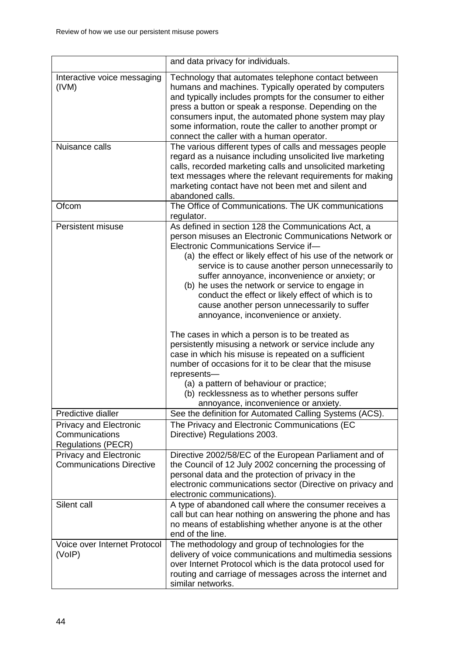|                                                                                               | and data privacy for individuals.                                                                                                                                                                                                                                                                                                                                                                                                                                                                                                                                                   |
|-----------------------------------------------------------------------------------------------|-------------------------------------------------------------------------------------------------------------------------------------------------------------------------------------------------------------------------------------------------------------------------------------------------------------------------------------------------------------------------------------------------------------------------------------------------------------------------------------------------------------------------------------------------------------------------------------|
| Interactive voice messaging<br>(IVM)                                                          | Technology that automates telephone contact between<br>humans and machines. Typically operated by computers<br>and typically includes prompts for the consumer to either<br>press a button or speak a response. Depending on the<br>consumers input, the automated phone system may play<br>some information, route the caller to another prompt or<br>connect the caller with a human operator.                                                                                                                                                                                    |
| Nuisance calls                                                                                | The various different types of calls and messages people<br>regard as a nuisance including unsolicited live marketing<br>calls, recorded marketing calls and unsolicited marketing<br>text messages where the relevant requirements for making<br>marketing contact have not been met and silent and<br>abandoned calls.                                                                                                                                                                                                                                                            |
| Ofcom                                                                                         | The Office of Communications. The UK communications<br>regulator.                                                                                                                                                                                                                                                                                                                                                                                                                                                                                                                   |
| Persistent misuse                                                                             | As defined in section 128 the Communications Act, a<br>person misuses an Electronic Communications Network or<br>Electronic Communications Service if-<br>(a) the effect or likely effect of his use of the network or<br>service is to cause another person unnecessarily to<br>suffer annoyance, inconvenience or anxiety; or<br>(b) he uses the network or service to engage in<br>conduct the effect or likely effect of which is to<br>cause another person unnecessarily to suffer<br>annoyance, inconvenience or anxiety.<br>The cases in which a person is to be treated as |
|                                                                                               | persistently misusing a network or service include any<br>case in which his misuse is repeated on a sufficient<br>number of occasions for it to be clear that the misuse<br>represents-                                                                                                                                                                                                                                                                                                                                                                                             |
|                                                                                               | (a) a pattern of behaviour or practice;<br>(b) recklessness as to whether persons suffer<br>annoyance, inconvenience or anxiety.                                                                                                                                                                                                                                                                                                                                                                                                                                                    |
| Predictive dialler<br><b>Privacy and Electronic</b><br>Communications                         | See the definition for Automated Calling Systems (ACS).<br>The Privacy and Electronic Communications (EC<br>Directive) Regulations 2003.                                                                                                                                                                                                                                                                                                                                                                                                                                            |
| <b>Regulations (PECR)</b><br><b>Privacy and Electronic</b><br><b>Communications Directive</b> | Directive 2002/58/EC of the European Parliament and of<br>the Council of 12 July 2002 concerning the processing of<br>personal data and the protection of privacy in the<br>electronic communications sector (Directive on privacy and<br>electronic communications).                                                                                                                                                                                                                                                                                                               |
| Silent call                                                                                   | A type of abandoned call where the consumer receives a<br>call but can hear nothing on answering the phone and has<br>no means of establishing whether anyone is at the other<br>end of the line.                                                                                                                                                                                                                                                                                                                                                                                   |
| Voice over Internet Protocol<br>(VoIP)                                                        | The methodology and group of technologies for the<br>delivery of voice communications and multimedia sessions<br>over Internet Protocol which is the data protocol used for<br>routing and carriage of messages across the internet and<br>similar networks.                                                                                                                                                                                                                                                                                                                        |